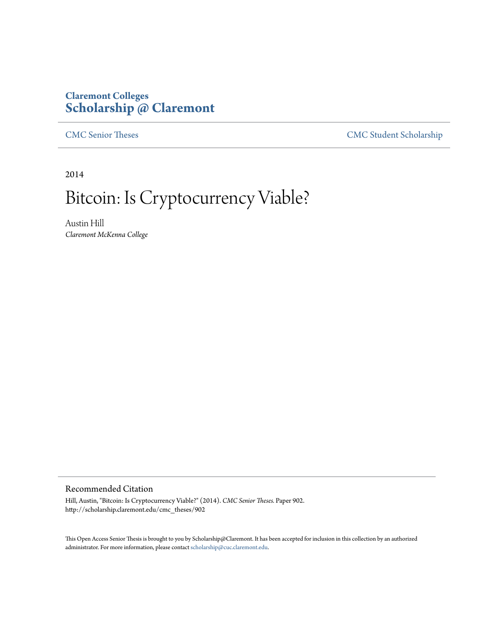## **Claremont Colleges [Scholarship @ Claremont](http://scholarship.claremont.edu)**

[CMC Senior Theses](http://scholarship.claremont.edu/cmc_theses) [CMC Student Scholarship](http://scholarship.claremont.edu/cmc_student)

2014

# Bitcoin: Is Cryptocurrency Viable?

Austin Hill *Claremont McKenna College*

#### Recommended Citation

Hill, Austin, "Bitcoin: Is Cryptocurrency Viable?" (2014). *CMC Senior Theses.* Paper 902. http://scholarship.claremont.edu/cmc\_theses/902

This Open Access Senior Thesis is brought to you by Scholarship@Claremont. It has been accepted for inclusion in this collection by an authorized administrator. For more information, please contact [scholarship@cuc.claremont.edu.](mailto:scholarship@cuc.claremont.edu)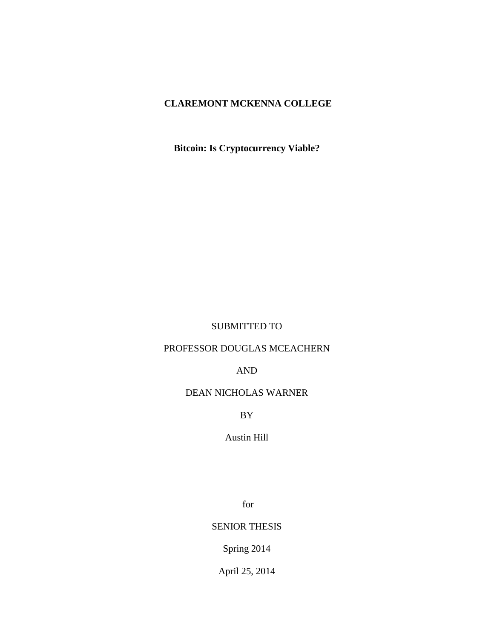## **CLAREMONT MCKENNA COLLEGE**

**Bitcoin: Is Cryptocurrency Viable?**

### SUBMITTED TO

## PROFESSOR DOUGLAS MCEACHERN

## AND

## DEAN NICHOLAS WARNER

BY

## Austin Hill

for

## SENIOR THESIS

Spring 2014

April 25, 2014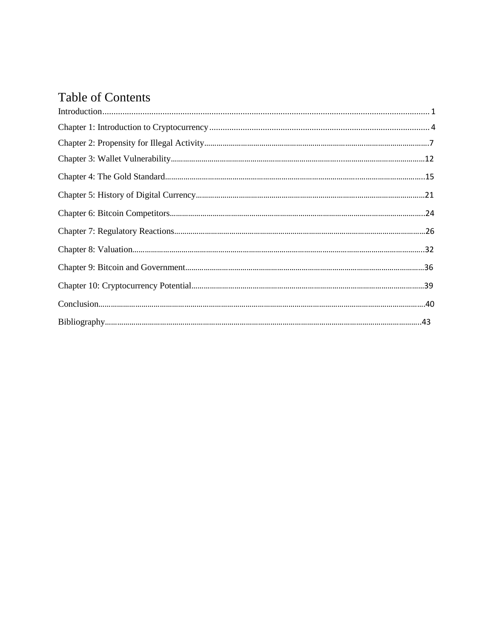## Table of Contents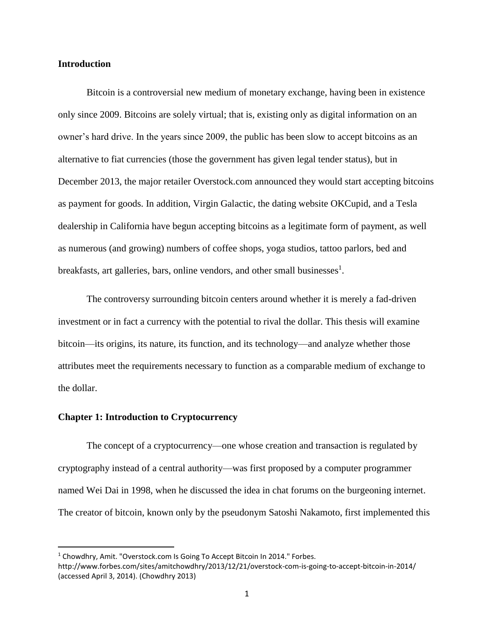#### **Introduction**

Bitcoin is a controversial new medium of monetary exchange, having been in existence only since 2009. Bitcoins are solely virtual; that is, existing only as digital information on an owner's hard drive. In the years since 2009, the public has been slow to accept bitcoins as an alternative to fiat currencies (those the government has given legal tender status), but in December 2013, the major retailer Overstock.com announced they would start accepting bitcoins as payment for goods. In addition, Virgin Galactic, the dating website OKCupid, and a Tesla dealership in California have begun accepting bitcoins as a legitimate form of payment, as well as numerous (and growing) numbers of coffee shops, yoga studios, tattoo parlors, bed and breakfasts, art galleries, bars, online vendors, and other small businesses<sup>1</sup>.

The controversy surrounding bitcoin centers around whether it is merely a fad-driven investment or in fact a currency with the potential to rival the dollar. This thesis will examine bitcoin—its origins, its nature, its function, and its technology—and analyze whether those attributes meet the requirements necessary to function as a comparable medium of exchange to the dollar.

#### **Chapter 1: Introduction to Cryptocurrency**

 $\overline{\phantom{a}}$ 

The concept of a cryptocurrency—one whose creation and transaction is regulated by cryptography instead of a central authority—was first proposed by a computer programmer named Wei Dai in 1998, when he discussed the idea in chat forums on the burgeoning internet. The creator of bitcoin, known only by the pseudonym Satoshi Nakamoto, first implemented this

<sup>&</sup>lt;sup>1</sup> Chowdhry, Amit. "Overstock.com Is Going To Accept Bitcoin In 2014." Forbes.

http://www.forbes.com/sites/amitchowdhry/2013/12/21/overstock-com-is-going-to-accept-bitcoin-in-2014/ (accessed April 3, 2014). (Chowdhry 2013)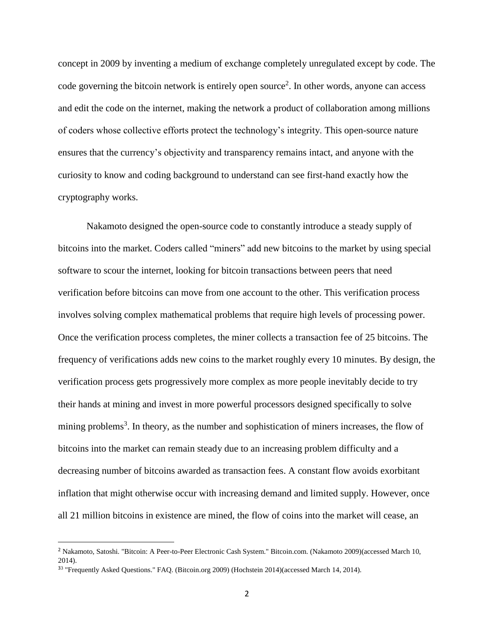concept in 2009 by inventing a medium of exchange completely unregulated except by code. The code governing the bitcoin network is entirely open source<sup>2</sup>. In other words, anyone can access and edit the code on the internet, making the network a product of collaboration among millions of coders whose collective efforts protect the technology's integrity. This open-source nature ensures that the currency's objectivity and transparency remains intact, and anyone with the curiosity to know and coding background to understand can see first-hand exactly how the cryptography works.

Nakamoto designed the open-source code to constantly introduce a steady supply of bitcoins into the market. Coders called "miners" add new bitcoins to the market by using special software to scour the internet, looking for bitcoin transactions between peers that need verification before bitcoins can move from one account to the other. This verification process involves solving complex mathematical problems that require high levels of processing power. Once the verification process completes, the miner collects a transaction fee of 25 bitcoins. The frequency of verifications adds new coins to the market roughly every 10 minutes. By design, the verification process gets progressively more complex as more people inevitably decide to try their hands at mining and invest in more powerful processors designed specifically to solve mining problems<sup>3</sup>. In theory, as the number and sophistication of miners increases, the flow of bitcoins into the market can remain steady due to an increasing problem difficulty and a decreasing number of bitcoins awarded as transaction fees. A constant flow avoids exorbitant inflation that might otherwise occur with increasing demand and limited supply. However, once all 21 million bitcoins in existence are mined, the flow of coins into the market will cease, an

<sup>&</sup>lt;sup>2</sup> Nakamoto, Satoshi. "Bitcoin: A Peer-to-Peer Electronic Cash System." Bitcoin.com. (Nakamoto 2009)(accessed March 10, 2014).

 $33$  "Frequently Asked Questions." FAQ. (Bitcoin.org 2009) (Hochstein 2014)(accessed March 14, 2014).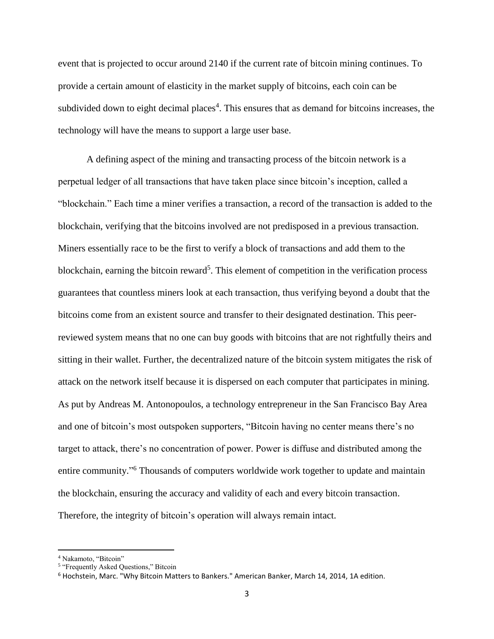event that is projected to occur around 2140 if the current rate of bitcoin mining continues. To provide a certain amount of elasticity in the market supply of bitcoins, each coin can be subdivided down to eight decimal places<sup>4</sup>. This ensures that as demand for bitcoins increases, the technology will have the means to support a large user base.

A defining aspect of the mining and transacting process of the bitcoin network is a perpetual ledger of all transactions that have taken place since bitcoin's inception, called a "blockchain." Each time a miner verifies a transaction, a record of the transaction is added to the blockchain, verifying that the bitcoins involved are not predisposed in a previous transaction. Miners essentially race to be the first to verify a block of transactions and add them to the blockchain, earning the bitcoin reward<sup>5</sup>. This element of competition in the verification process guarantees that countless miners look at each transaction, thus verifying beyond a doubt that the bitcoins come from an existent source and transfer to their designated destination. This peerreviewed system means that no one can buy goods with bitcoins that are not rightfully theirs and sitting in their wallet. Further, the decentralized nature of the bitcoin system mitigates the risk of attack on the network itself because it is dispersed on each computer that participates in mining. As put by Andreas M. Antonopoulos, a technology entrepreneur in the San Francisco Bay Area and one of bitcoin's most outspoken supporters, "Bitcoin having no center means there's no target to attack, there's no concentration of power. Power is diffuse and distributed among the entire community."<sup>6</sup> Thousands of computers worldwide work together to update and maintain the blockchain, ensuring the accuracy and validity of each and every bitcoin transaction. Therefore, the integrity of bitcoin's operation will always remain intact.

<sup>4</sup> Nakamoto, "Bitcoin"

<sup>&</sup>lt;sup>5</sup> "Frequently Asked Questions," Bitcoin

<sup>6</sup> Hochstein, Marc. "Why Bitcoin Matters to Bankers." American Banker, March 14, 2014, 1A edition.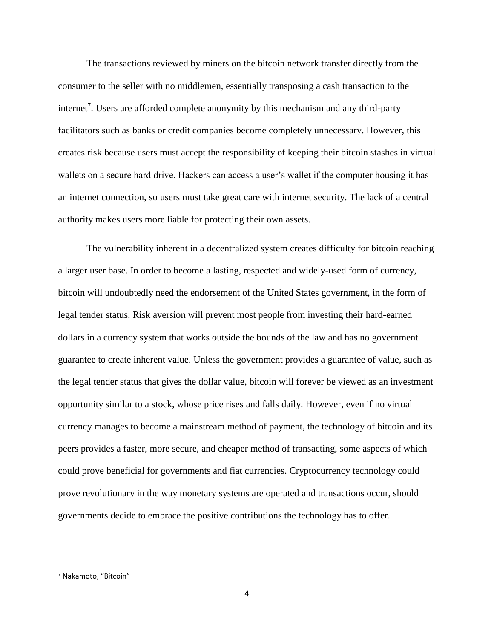The transactions reviewed by miners on the bitcoin network transfer directly from the consumer to the seller with no middlemen, essentially transposing a cash transaction to the internet<sup>7</sup>. Users are afforded complete anonymity by this mechanism and any third-party facilitators such as banks or credit companies become completely unnecessary. However, this creates risk because users must accept the responsibility of keeping their bitcoin stashes in virtual wallets on a secure hard drive. Hackers can access a user's wallet if the computer housing it has an internet connection, so users must take great care with internet security. The lack of a central authority makes users more liable for protecting their own assets.

The vulnerability inherent in a decentralized system creates difficulty for bitcoin reaching a larger user base. In order to become a lasting, respected and widely-used form of currency, bitcoin will undoubtedly need the endorsement of the United States government, in the form of legal tender status. Risk aversion will prevent most people from investing their hard-earned dollars in a currency system that works outside the bounds of the law and has no government guarantee to create inherent value. Unless the government provides a guarantee of value, such as the legal tender status that gives the dollar value, bitcoin will forever be viewed as an investment opportunity similar to a stock, whose price rises and falls daily. However, even if no virtual currency manages to become a mainstream method of payment, the technology of bitcoin and its peers provides a faster, more secure, and cheaper method of transacting, some aspects of which could prove beneficial for governments and fiat currencies. Cryptocurrency technology could prove revolutionary in the way monetary systems are operated and transactions occur, should governments decide to embrace the positive contributions the technology has to offer.

<sup>7</sup> Nakamoto, "Bitcoin"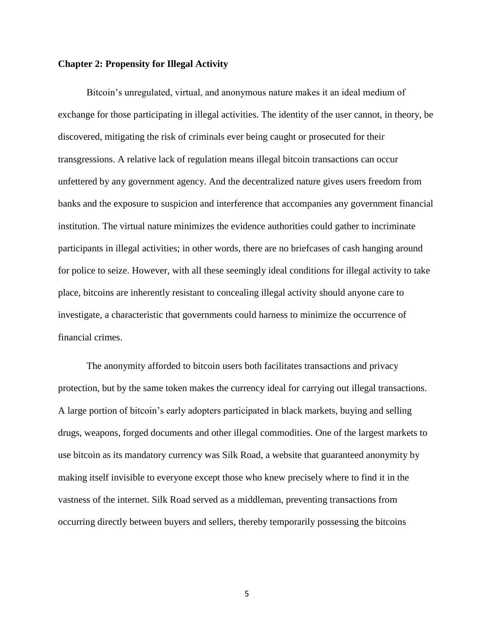#### **Chapter 2: Propensity for Illegal Activity**

Bitcoin's unregulated, virtual, and anonymous nature makes it an ideal medium of exchange for those participating in illegal activities. The identity of the user cannot, in theory, be discovered, mitigating the risk of criminals ever being caught or prosecuted for their transgressions. A relative lack of regulation means illegal bitcoin transactions can occur unfettered by any government agency. And the decentralized nature gives users freedom from banks and the exposure to suspicion and interference that accompanies any government financial institution. The virtual nature minimizes the evidence authorities could gather to incriminate participants in illegal activities; in other words, there are no briefcases of cash hanging around for police to seize. However, with all these seemingly ideal conditions for illegal activity to take place, bitcoins are inherently resistant to concealing illegal activity should anyone care to investigate, a characteristic that governments could harness to minimize the occurrence of financial crimes.

The anonymity afforded to bitcoin users both facilitates transactions and privacy protection, but by the same token makes the currency ideal for carrying out illegal transactions. A large portion of bitcoin's early adopters participated in black markets, buying and selling drugs, weapons, forged documents and other illegal commodities. One of the largest markets to use bitcoin as its mandatory currency was Silk Road, a website that guaranteed anonymity by making itself invisible to everyone except those who knew precisely where to find it in the vastness of the internet. Silk Road served as a middleman, preventing transactions from occurring directly between buyers and sellers, thereby temporarily possessing the bitcoins

5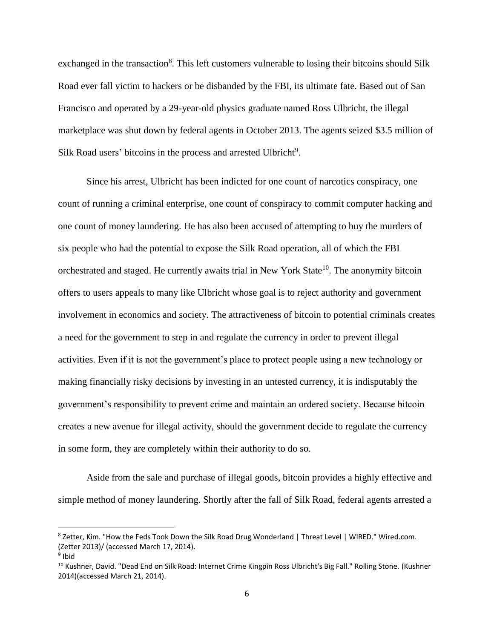exchanged in the transaction<sup>8</sup>. This left customers vulnerable to losing their bitcoins should Silk Road ever fall victim to hackers or be disbanded by the FBI, its ultimate fate. Based out of San Francisco and operated by a 29-year-old physics graduate named Ross Ulbricht, the illegal marketplace was shut down by federal agents in October 2013. The agents seized \$3.5 million of Silk Road users' bitcoins in the process and arrested Ulbricht<sup>9</sup>.

Since his arrest, Ulbricht has been indicted for one count of narcotics conspiracy, one count of running a criminal enterprise, one count of conspiracy to commit computer hacking and one count of money laundering. He has also been accused of attempting to buy the murders of six people who had the potential to expose the Silk Road operation, all of which the FBI orchestrated and staged. He currently awaits trial in New York State<sup>10</sup>. The anonymity bitcoin offers to users appeals to many like Ulbricht whose goal is to reject authority and government involvement in economics and society. The attractiveness of bitcoin to potential criminals creates a need for the government to step in and regulate the currency in order to prevent illegal activities. Even if it is not the government's place to protect people using a new technology or making financially risky decisions by investing in an untested currency, it is indisputably the government's responsibility to prevent crime and maintain an ordered society. Because bitcoin creates a new avenue for illegal activity, should the government decide to regulate the currency in some form, they are completely within their authority to do so.

Aside from the sale and purchase of illegal goods, bitcoin provides a highly effective and simple method of money laundering. Shortly after the fall of Silk Road, federal agents arrested a

<sup>8</sup> Zetter, Kim. "How the Feds Took Down the Silk Road Drug Wonderland | Threat Level | WIRED." Wired.com. (Zetter 2013)/ (accessed March 17, 2014).

<sup>&</sup>lt;sup>9</sup> Ibid

<sup>&</sup>lt;sup>10</sup> Kushner, David. "Dead End on Silk Road: Internet Crime Kingpin Ross Ulbricht's Big Fall." Rolling Stone. (Kushner 2014)(accessed March 21, 2014).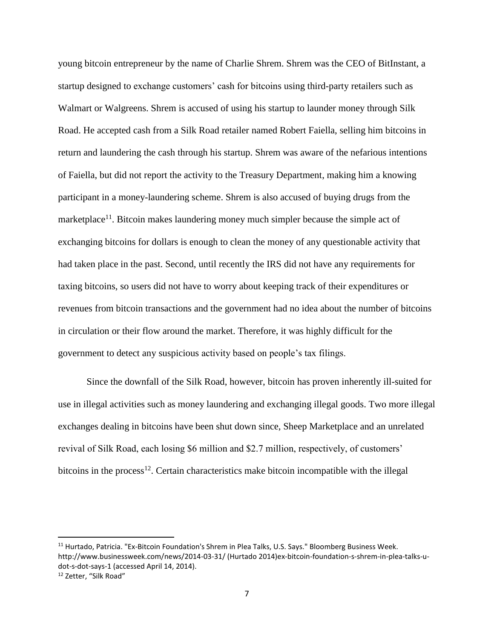young bitcoin entrepreneur by the name of Charlie Shrem. Shrem was the CEO of BitInstant, a startup designed to exchange customers' cash for bitcoins using third-party retailers such as Walmart or Walgreens. Shrem is accused of using his startup to launder money through Silk Road. He accepted cash from a Silk Road retailer named Robert Faiella, selling him bitcoins in return and laundering the cash through his startup. Shrem was aware of the nefarious intentions of Faiella, but did not report the activity to the Treasury Department, making him a knowing participant in a money-laundering scheme. Shrem is also accused of buying drugs from the marketplace<sup>11</sup>. Bitcoin makes laundering money much simpler because the simple act of exchanging bitcoins for dollars is enough to clean the money of any questionable activity that had taken place in the past. Second, until recently the IRS did not have any requirements for taxing bitcoins, so users did not have to worry about keeping track of their expenditures or revenues from bitcoin transactions and the government had no idea about the number of bitcoins in circulation or their flow around the market. Therefore, it was highly difficult for the government to detect any suspicious activity based on people's tax filings.

Since the downfall of the Silk Road, however, bitcoin has proven inherently ill-suited for use in illegal activities such as money laundering and exchanging illegal goods. Two more illegal exchanges dealing in bitcoins have been shut down since, Sheep Marketplace and an unrelated revival of Silk Road, each losing \$6 million and \$2.7 million, respectively, of customers' bitcoins in the process<sup>12</sup>. Certain characteristics make bitcoin incompatible with the illegal

<sup>&</sup>lt;sup>11</sup> Hurtado, Patricia. "Ex-Bitcoin Foundation's Shrem in Plea Talks, U.S. Says." Bloomberg Business Week. http://www.businessweek.com/news/2014-03-31/ (Hurtado 2014)ex-bitcoin-foundation-s-shrem-in-plea-talks-udot-s-dot-says-1 (accessed April 14, 2014).

<sup>&</sup>lt;sup>12</sup> Zetter, "Silk Road"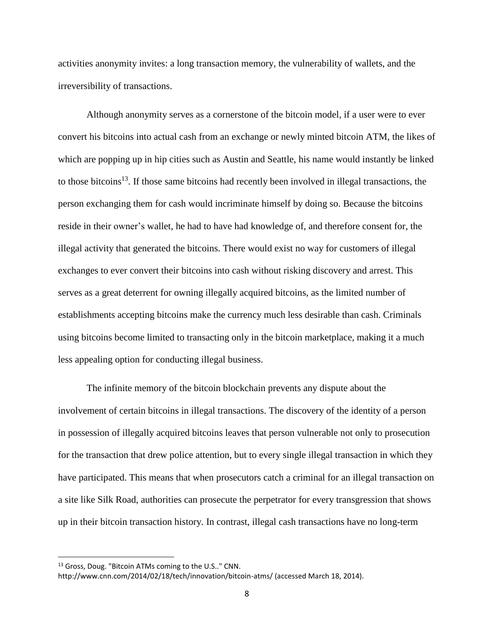activities anonymity invites: a long transaction memory, the vulnerability of wallets, and the irreversibility of transactions.

Although anonymity serves as a cornerstone of the bitcoin model, if a user were to ever convert his bitcoins into actual cash from an exchange or newly minted bitcoin ATM, the likes of which are popping up in hip cities such as Austin and Seattle, his name would instantly be linked to those bitcoins<sup>13</sup>. If those same bitcoins had recently been involved in illegal transactions, the person exchanging them for cash would incriminate himself by doing so. Because the bitcoins reside in their owner's wallet, he had to have had knowledge of, and therefore consent for, the illegal activity that generated the bitcoins. There would exist no way for customers of illegal exchanges to ever convert their bitcoins into cash without risking discovery and arrest. This serves as a great deterrent for owning illegally acquired bitcoins, as the limited number of establishments accepting bitcoins make the currency much less desirable than cash. Criminals using bitcoins become limited to transacting only in the bitcoin marketplace, making it a much less appealing option for conducting illegal business.

The infinite memory of the bitcoin blockchain prevents any dispute about the involvement of certain bitcoins in illegal transactions. The discovery of the identity of a person in possession of illegally acquired bitcoins leaves that person vulnerable not only to prosecution for the transaction that drew police attention, but to every single illegal transaction in which they have participated. This means that when prosecutors catch a criminal for an illegal transaction on a site like Silk Road, authorities can prosecute the perpetrator for every transgression that shows up in their bitcoin transaction history. In contrast, illegal cash transactions have no long-term

<sup>13</sup> Gross, Doug. "Bitcoin ATMs coming to the U.S.." CNN.

http://www.cnn.com/2014/02/18/tech/innovation/bitcoin-atms/ (accessed March 18, 2014).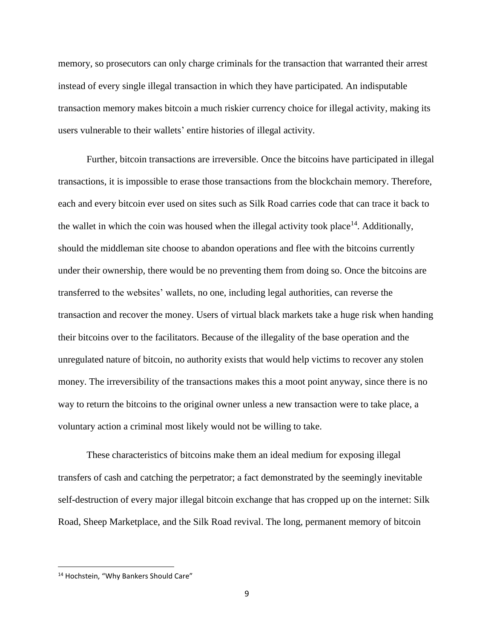memory, so prosecutors can only charge criminals for the transaction that warranted their arrest instead of every single illegal transaction in which they have participated. An indisputable transaction memory makes bitcoin a much riskier currency choice for illegal activity, making its users vulnerable to their wallets' entire histories of illegal activity.

Further, bitcoin transactions are irreversible. Once the bitcoins have participated in illegal transactions, it is impossible to erase those transactions from the blockchain memory. Therefore, each and every bitcoin ever used on sites such as Silk Road carries code that can trace it back to the wallet in which the coin was housed when the illegal activity took place<sup>14</sup>. Additionally, should the middleman site choose to abandon operations and flee with the bitcoins currently under their ownership, there would be no preventing them from doing so. Once the bitcoins are transferred to the websites' wallets, no one, including legal authorities, can reverse the transaction and recover the money. Users of virtual black markets take a huge risk when handing their bitcoins over to the facilitators. Because of the illegality of the base operation and the unregulated nature of bitcoin, no authority exists that would help victims to recover any stolen money. The irreversibility of the transactions makes this a moot point anyway, since there is no way to return the bitcoins to the original owner unless a new transaction were to take place, a voluntary action a criminal most likely would not be willing to take.

These characteristics of bitcoins make them an ideal medium for exposing illegal transfers of cash and catching the perpetrator; a fact demonstrated by the seemingly inevitable self-destruction of every major illegal bitcoin exchange that has cropped up on the internet: Silk Road, Sheep Marketplace, and the Silk Road revival. The long, permanent memory of bitcoin

<sup>&</sup>lt;sup>14</sup> Hochstein, "Why Bankers Should Care"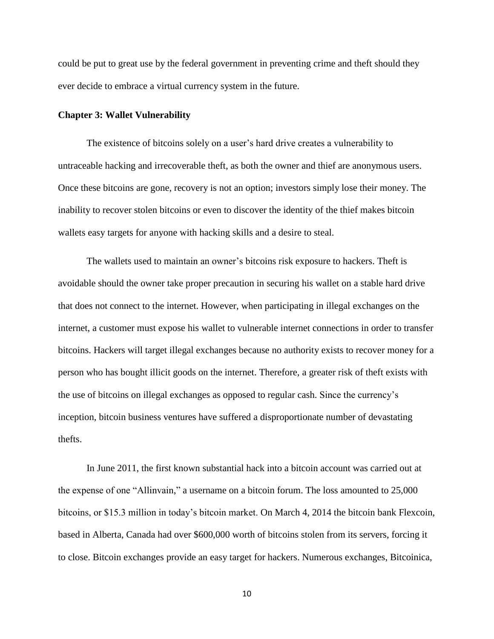could be put to great use by the federal government in preventing crime and theft should they ever decide to embrace a virtual currency system in the future.

#### **Chapter 3: Wallet Vulnerability**

The existence of bitcoins solely on a user's hard drive creates a vulnerability to untraceable hacking and irrecoverable theft, as both the owner and thief are anonymous users. Once these bitcoins are gone, recovery is not an option; investors simply lose their money. The inability to recover stolen bitcoins or even to discover the identity of the thief makes bitcoin wallets easy targets for anyone with hacking skills and a desire to steal.

The wallets used to maintain an owner's bitcoins risk exposure to hackers. Theft is avoidable should the owner take proper precaution in securing his wallet on a stable hard drive that does not connect to the internet. However, when participating in illegal exchanges on the internet, a customer must expose his wallet to vulnerable internet connections in order to transfer bitcoins. Hackers will target illegal exchanges because no authority exists to recover money for a person who has bought illicit goods on the internet. Therefore, a greater risk of theft exists with the use of bitcoins on illegal exchanges as opposed to regular cash. Since the currency's inception, bitcoin business ventures have suffered a disproportionate number of devastating thefts.

In June 2011, the first known substantial hack into a bitcoin account was carried out at the expense of one "Allinvain," a username on a bitcoin forum. The loss amounted to 25,000 bitcoins, or \$15.3 million in today's bitcoin market. On March 4, 2014 the bitcoin bank Flexcoin, based in Alberta, Canada had over \$600,000 worth of bitcoins stolen from its servers, forcing it to close. Bitcoin exchanges provide an easy target for hackers. Numerous exchanges, Bitcoinica,

10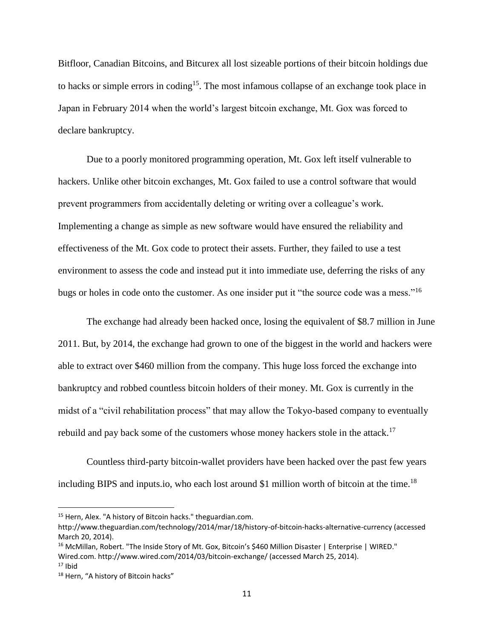Bitfloor, Canadian Bitcoins, and Bitcurex all lost sizeable portions of their bitcoin holdings due to hacks or simple errors in coding<sup>15</sup>. The most infamous collapse of an exchange took place in Japan in February 2014 when the world's largest bitcoin exchange, Mt. Gox was forced to declare bankruptcy.

Due to a poorly monitored programming operation, Mt. Gox left itself vulnerable to hackers. Unlike other bitcoin exchanges, Mt. Gox failed to use a control software that would prevent programmers from accidentally deleting or writing over a colleague's work. Implementing a change as simple as new software would have ensured the reliability and effectiveness of the Mt. Gox code to protect their assets. Further, they failed to use a test environment to assess the code and instead put it into immediate use, deferring the risks of any bugs or holes in code onto the customer. As one insider put it "the source code was a mess."<sup>16</sup>

The exchange had already been hacked once, losing the equivalent of \$8.7 million in June 2011. But, by 2014, the exchange had grown to one of the biggest in the world and hackers were able to extract over \$460 million from the company. This huge loss forced the exchange into bankruptcy and robbed countless bitcoin holders of their money. Mt. Gox is currently in the midst of a "civil rehabilitation process" that may allow the Tokyo-based company to eventually rebuild and pay back some of the customers whose money hackers stole in the attack.<sup>17</sup>

Countless third-party bitcoin-wallet providers have been hacked over the past few years including BIPS and inputs.io, who each lost around \$1 million worth of bitcoin at the time.<sup>18</sup>

<sup>&</sup>lt;sup>15</sup> Hern, Alex. "A history of Bitcoin hacks." theguardian.com.

http://www.theguardian.com/technology/2014/mar/18/history-of-bitcoin-hacks-alternative-currency (accessed March 20, 2014).

<sup>&</sup>lt;sup>16</sup> McMillan, Robert. "The Inside Story of Mt. Gox, Bitcoin's \$460 Million Disaster | Enterprise | WIRED." Wired.com. http://www.wired.com/2014/03/bitcoin-exchange/ (accessed March 25, 2014).

 $17$  Ibid

<sup>&</sup>lt;sup>18</sup> Hern, "A history of Bitcoin hacks"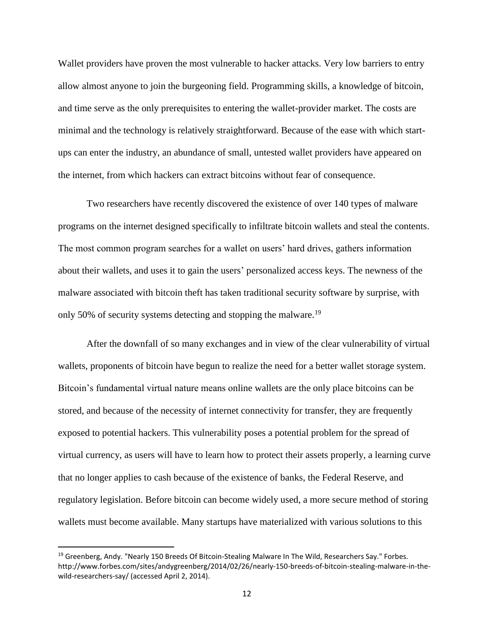Wallet providers have proven the most vulnerable to hacker attacks. Very low barriers to entry allow almost anyone to join the burgeoning field. Programming skills, a knowledge of bitcoin, and time serve as the only prerequisites to entering the wallet-provider market. The costs are minimal and the technology is relatively straightforward. Because of the ease with which startups can enter the industry, an abundance of small, untested wallet providers have appeared on the internet, from which hackers can extract bitcoins without fear of consequence.

Two researchers have recently discovered the existence of over 140 types of malware programs on the internet designed specifically to infiltrate bitcoin wallets and steal the contents. The most common program searches for a wallet on users' hard drives, gathers information about their wallets, and uses it to gain the users' personalized access keys. The newness of the malware associated with bitcoin theft has taken traditional security software by surprise, with only 50% of security systems detecting and stopping the malware.<sup>19</sup>

After the downfall of so many exchanges and in view of the clear vulnerability of virtual wallets, proponents of bitcoin have begun to realize the need for a better wallet storage system. Bitcoin's fundamental virtual nature means online wallets are the only place bitcoins can be stored, and because of the necessity of internet connectivity for transfer, they are frequently exposed to potential hackers. This vulnerability poses a potential problem for the spread of virtual currency, as users will have to learn how to protect their assets properly, a learning curve that no longer applies to cash because of the existence of banks, the Federal Reserve, and regulatory legislation. Before bitcoin can become widely used, a more secure method of storing wallets must become available. Many startups have materialized with various solutions to this

<sup>&</sup>lt;sup>19</sup> Greenberg, Andy. "Nearly 150 Breeds Of Bitcoin-Stealing Malware In The Wild, Researchers Say." Forbes. http://www.forbes.com/sites/andygreenberg/2014/02/26/nearly-150-breeds-of-bitcoin-stealing-malware-in-thewild-researchers-say/ (accessed April 2, 2014).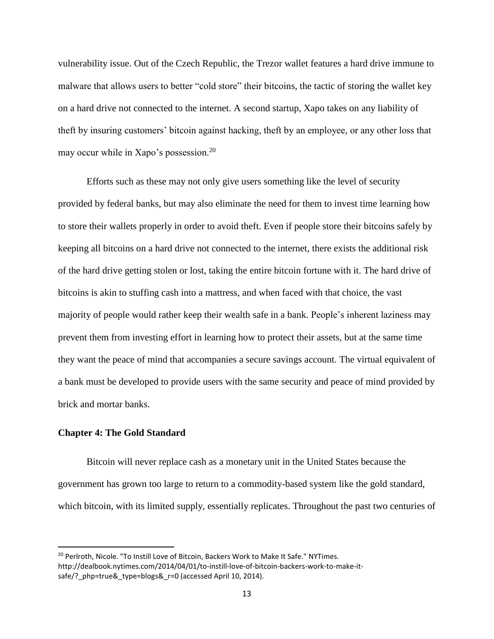vulnerability issue. Out of the Czech Republic, the Trezor wallet features a hard drive immune to malware that allows users to better "cold store" their bitcoins, the tactic of storing the wallet key on a hard drive not connected to the internet. A second startup, Xapo takes on any liability of theft by insuring customers' bitcoin against hacking, theft by an employee, or any other loss that may occur while in Xapo's possession.<sup>20</sup>

Efforts such as these may not only give users something like the level of security provided by federal banks, but may also eliminate the need for them to invest time learning how to store their wallets properly in order to avoid theft. Even if people store their bitcoins safely by keeping all bitcoins on a hard drive not connected to the internet, there exists the additional risk of the hard drive getting stolen or lost, taking the entire bitcoin fortune with it. The hard drive of bitcoins is akin to stuffing cash into a mattress, and when faced with that choice, the vast majority of people would rather keep their wealth safe in a bank. People's inherent laziness may prevent them from investing effort in learning how to protect their assets, but at the same time they want the peace of mind that accompanies a secure savings account. The virtual equivalent of a bank must be developed to provide users with the same security and peace of mind provided by brick and mortar banks.

#### **Chapter 4: The Gold Standard**

 $\overline{\phantom{a}}$ 

Bitcoin will never replace cash as a monetary unit in the United States because the government has grown too large to return to a commodity-based system like the gold standard, which bitcoin, with its limited supply, essentially replicates. Throughout the past two centuries of

<sup>&</sup>lt;sup>20</sup> Perlroth, Nicole. "To Instill Love of Bitcoin, Backers Work to Make It Safe." NYTimes. http://dealbook.nytimes.com/2014/04/01/to-instill-love-of-bitcoin-backers-work-to-make-itsafe/? php=true& type=blogs& r=0 (accessed April 10, 2014).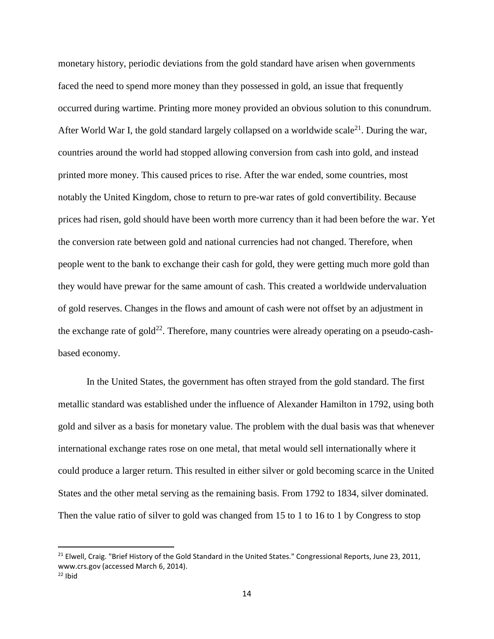monetary history, periodic deviations from the gold standard have arisen when governments faced the need to spend more money than they possessed in gold, an issue that frequently occurred during wartime. Printing more money provided an obvious solution to this conundrum. After World War I, the gold standard largely collapsed on a worldwide scale<sup>21</sup>. During the war, countries around the world had stopped allowing conversion from cash into gold, and instead printed more money. This caused prices to rise. After the war ended, some countries, most notably the United Kingdom, chose to return to pre-war rates of gold convertibility. Because prices had risen, gold should have been worth more currency than it had been before the war. Yet the conversion rate between gold and national currencies had not changed. Therefore, when people went to the bank to exchange their cash for gold, they were getting much more gold than they would have prewar for the same amount of cash. This created a worldwide undervaluation of gold reserves. Changes in the flows and amount of cash were not offset by an adjustment in the exchange rate of gold<sup>22</sup>. Therefore, many countries were already operating on a pseudo-cashbased economy.

In the United States, the government has often strayed from the gold standard. The first metallic standard was established under the influence of Alexander Hamilton in 1792, using both gold and silver as a basis for monetary value. The problem with the dual basis was that whenever international exchange rates rose on one metal, that metal would sell internationally where it could produce a larger return. This resulted in either silver or gold becoming scarce in the United States and the other metal serving as the remaining basis. From 1792 to 1834, silver dominated. Then the value ratio of silver to gold was changed from 15 to 1 to 16 to 1 by Congress to stop

<sup>&</sup>lt;sup>21</sup> Elwell, Craig. "Brief History of the Gold Standard in the United States." Congressional Reports, June 23, 2011, www.crs.gov (accessed March 6, 2014).

 $22$  Ibid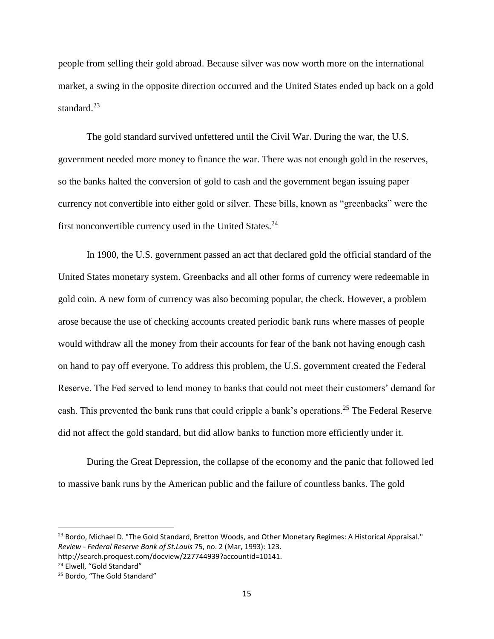people from selling their gold abroad. Because silver was now worth more on the international market, a swing in the opposite direction occurred and the United States ended up back on a gold standard.<sup>23</sup>

The gold standard survived unfettered until the Civil War. During the war, the U.S. government needed more money to finance the war. There was not enough gold in the reserves, so the banks halted the conversion of gold to cash and the government began issuing paper currency not convertible into either gold or silver. These bills, known as "greenbacks" were the first nonconvertible currency used in the United States.<sup>24</sup>

In 1900, the U.S. government passed an act that declared gold the official standard of the United States monetary system. Greenbacks and all other forms of currency were redeemable in gold coin. A new form of currency was also becoming popular, the check. However, a problem arose because the use of checking accounts created periodic bank runs where masses of people would withdraw all the money from their accounts for fear of the bank not having enough cash on hand to pay off everyone. To address this problem, the U.S. government created the Federal Reserve. The Fed served to lend money to banks that could not meet their customers' demand for cash. This prevented the bank runs that could cripple a bank's operations.<sup>25</sup> The Federal Reserve did not affect the gold standard, but did allow banks to function more efficiently under it.

During the Great Depression, the collapse of the economy and the panic that followed led to massive bank runs by the American public and the failure of countless banks. The gold

<sup>23</sup> Bordo, Michael D. "The Gold Standard, Bretton Woods, and Other Monetary Regimes: A Historical Appraisal." *Review - Federal Reserve Bank of St.Louis* 75, no. 2 (Mar, 1993): 123.

http://search.proquest.com/docview/227744939?accountid=10141.

<sup>&</sup>lt;sup>24</sup> Elwell, "Gold Standard"

<sup>&</sup>lt;sup>25</sup> Bordo, "The Gold Standard"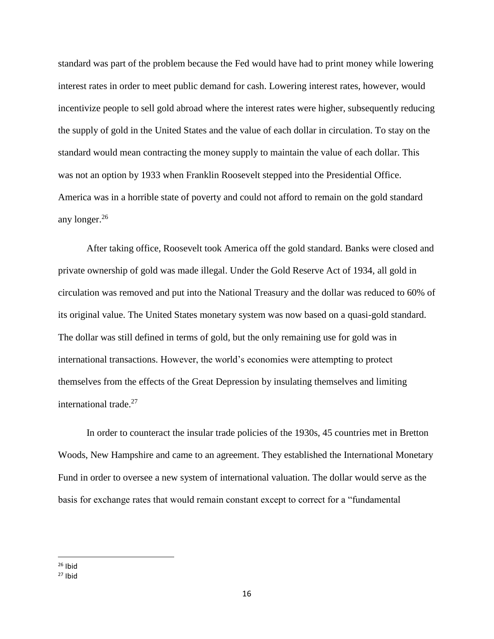standard was part of the problem because the Fed would have had to print money while lowering interest rates in order to meet public demand for cash. Lowering interest rates, however, would incentivize people to sell gold abroad where the interest rates were higher, subsequently reducing the supply of gold in the United States and the value of each dollar in circulation. To stay on the standard would mean contracting the money supply to maintain the value of each dollar. This was not an option by 1933 when Franklin Roosevelt stepped into the Presidential Office. America was in a horrible state of poverty and could not afford to remain on the gold standard any longer.<sup>26</sup>

After taking office, Roosevelt took America off the gold standard. Banks were closed and private ownership of gold was made illegal. Under the Gold Reserve Act of 1934, all gold in circulation was removed and put into the National Treasury and the dollar was reduced to 60% of its original value. The United States monetary system was now based on a quasi-gold standard. The dollar was still defined in terms of gold, but the only remaining use for gold was in international transactions. However, the world's economies were attempting to protect themselves from the effects of the Great Depression by insulating themselves and limiting international trade. $27$ 

In order to counteract the insular trade policies of the 1930s, 45 countries met in Bretton Woods, New Hampshire and came to an agreement. They established the International Monetary Fund in order to oversee a new system of international valuation. The dollar would serve as the basis for exchange rates that would remain constant except to correct for a "fundamental

 $26$  Ibid

 $27$  Ibid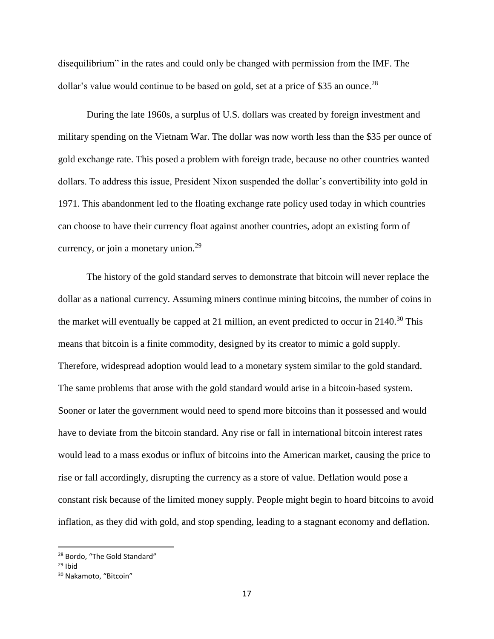disequilibrium" in the rates and could only be changed with permission from the IMF. The dollar's value would continue to be based on gold, set at a price of \$35 an ounce.<sup>28</sup>

During the late 1960s, a surplus of U.S. dollars was created by foreign investment and military spending on the Vietnam War. The dollar was now worth less than the \$35 per ounce of gold exchange rate. This posed a problem with foreign trade, because no other countries wanted dollars. To address this issue, President Nixon suspended the dollar's convertibility into gold in 1971. This abandonment led to the floating exchange rate policy used today in which countries can choose to have their currency float against another countries, adopt an existing form of currency, or join a monetary union. $29$ 

The history of the gold standard serves to demonstrate that bitcoin will never replace the dollar as a national currency. Assuming miners continue mining bitcoins, the number of coins in the market will eventually be capped at 21 million, an event predicted to occur in 2140.<sup>30</sup> This means that bitcoin is a finite commodity, designed by its creator to mimic a gold supply. Therefore, widespread adoption would lead to a monetary system similar to the gold standard. The same problems that arose with the gold standard would arise in a bitcoin-based system. Sooner or later the government would need to spend more bitcoins than it possessed and would have to deviate from the bitcoin standard. Any rise or fall in international bitcoin interest rates would lead to a mass exodus or influx of bitcoins into the American market, causing the price to rise or fall accordingly, disrupting the currency as a store of value. Deflation would pose a constant risk because of the limited money supply. People might begin to hoard bitcoins to avoid inflation, as they did with gold, and stop spending, leading to a stagnant economy and deflation.

<sup>&</sup>lt;sup>28</sup> Bordo, "The Gold Standard"

 $29$  Ihid

<sup>30</sup> Nakamoto, "Bitcoin"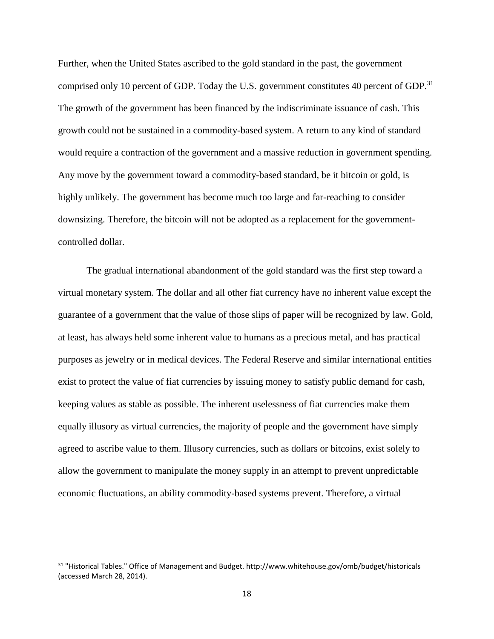Further, when the United States ascribed to the gold standard in the past, the government comprised only 10 percent of GDP. Today the U.S. government constitutes 40 percent of GDP.<sup>31</sup> The growth of the government has been financed by the indiscriminate issuance of cash. This growth could not be sustained in a commodity-based system. A return to any kind of standard would require a contraction of the government and a massive reduction in government spending. Any move by the government toward a commodity-based standard, be it bitcoin or gold, is highly unlikely. The government has become much too large and far-reaching to consider downsizing. Therefore, the bitcoin will not be adopted as a replacement for the governmentcontrolled dollar.

The gradual international abandonment of the gold standard was the first step toward a virtual monetary system. The dollar and all other fiat currency have no inherent value except the guarantee of a government that the value of those slips of paper will be recognized by law. Gold, at least, has always held some inherent value to humans as a precious metal, and has practical purposes as jewelry or in medical devices. The Federal Reserve and similar international entities exist to protect the value of fiat currencies by issuing money to satisfy public demand for cash, keeping values as stable as possible. The inherent uselessness of fiat currencies make them equally illusory as virtual currencies, the majority of people and the government have simply agreed to ascribe value to them. Illusory currencies, such as dollars or bitcoins, exist solely to allow the government to manipulate the money supply in an attempt to prevent unpredictable economic fluctuations, an ability commodity-based systems prevent. Therefore, a virtual

<sup>31</sup> "Historical Tables." Office of Management and Budget. http://www.whitehouse.gov/omb/budget/historicals (accessed March 28, 2014).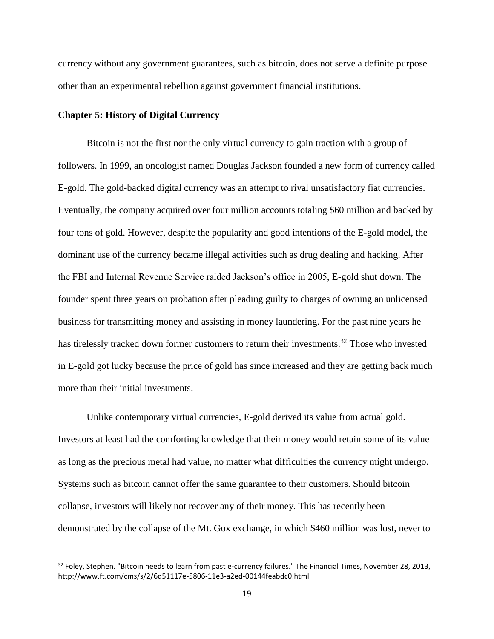currency without any government guarantees, such as bitcoin, does not serve a definite purpose other than an experimental rebellion against government financial institutions.

#### **Chapter 5: History of Digital Currency**

l

Bitcoin is not the first nor the only virtual currency to gain traction with a group of followers. In 1999, an oncologist named Douglas Jackson founded a new form of currency called E-gold. The gold-backed digital currency was an attempt to rival unsatisfactory fiat currencies. Eventually, the company acquired over four million accounts totaling \$60 million and backed by four tons of gold. However, despite the popularity and good intentions of the E-gold model, the dominant use of the currency became illegal activities such as drug dealing and hacking. After the FBI and Internal Revenue Service raided Jackson's office in 2005, E-gold shut down. The founder spent three years on probation after pleading guilty to charges of owning an unlicensed business for transmitting money and assisting in money laundering. For the past nine years he has tirelessly tracked down former customers to return their investments.<sup>32</sup> Those who invested in E-gold got lucky because the price of gold has since increased and they are getting back much more than their initial investments.

Unlike contemporary virtual currencies, E-gold derived its value from actual gold. Investors at least had the comforting knowledge that their money would retain some of its value as long as the precious metal had value, no matter what difficulties the currency might undergo. Systems such as bitcoin cannot offer the same guarantee to their customers. Should bitcoin collapse, investors will likely not recover any of their money. This has recently been demonstrated by the collapse of the Mt. Gox exchange, in which \$460 million was lost, never to

 $32$  Foley, Stephen. "Bitcoin needs to learn from past e-currency failures." The Financial Times, November 28, 2013, http://www.ft.com/cms/s/2/6d51117e-5806-11e3-a2ed-00144feabdc0.html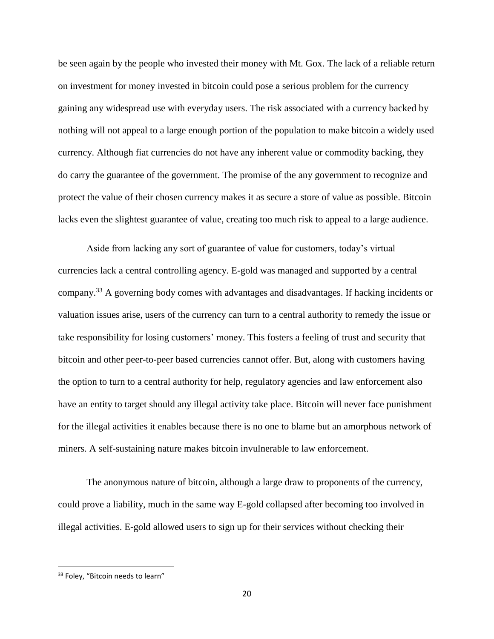be seen again by the people who invested their money with Mt. Gox. The lack of a reliable return on investment for money invested in bitcoin could pose a serious problem for the currency gaining any widespread use with everyday users. The risk associated with a currency backed by nothing will not appeal to a large enough portion of the population to make bitcoin a widely used currency. Although fiat currencies do not have any inherent value or commodity backing, they do carry the guarantee of the government. The promise of the any government to recognize and protect the value of their chosen currency makes it as secure a store of value as possible. Bitcoin lacks even the slightest guarantee of value, creating too much risk to appeal to a large audience.

Aside from lacking any sort of guarantee of value for customers, today's virtual currencies lack a central controlling agency. E-gold was managed and supported by a central company.<sup>33</sup> A governing body comes with advantages and disadvantages. If hacking incidents or valuation issues arise, users of the currency can turn to a central authority to remedy the issue or take responsibility for losing customers' money. This fosters a feeling of trust and security that bitcoin and other peer-to-peer based currencies cannot offer. But, along with customers having the option to turn to a central authority for help, regulatory agencies and law enforcement also have an entity to target should any illegal activity take place. Bitcoin will never face punishment for the illegal activities it enables because there is no one to blame but an amorphous network of miners. A self-sustaining nature makes bitcoin invulnerable to law enforcement.

The anonymous nature of bitcoin, although a large draw to proponents of the currency, could prove a liability, much in the same way E-gold collapsed after becoming too involved in illegal activities. E-gold allowed users to sign up for their services without checking their

<sup>&</sup>lt;sup>33</sup> Foley, "Bitcoin needs to learn"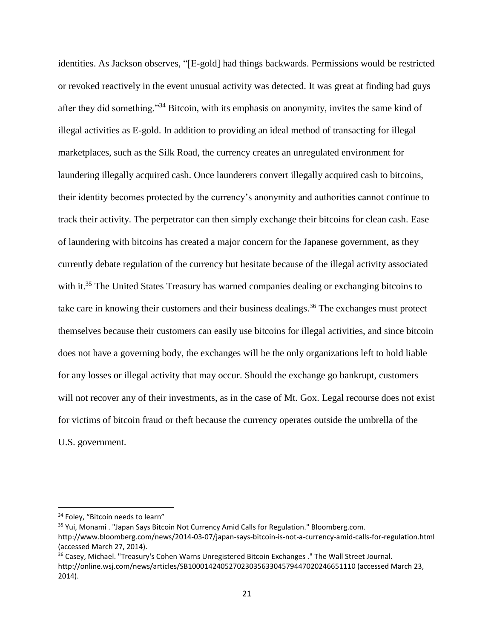identities. As Jackson observes, "[E-gold] had things backwards. Permissions would be restricted or revoked reactively in the event unusual activity was detected. It was great at finding bad guys after they did something."<sup>34</sup> Bitcoin, with its emphasis on anonymity, invites the same kind of illegal activities as E-gold. In addition to providing an ideal method of transacting for illegal marketplaces, such as the Silk Road, the currency creates an unregulated environment for laundering illegally acquired cash. Once launderers convert illegally acquired cash to bitcoins, their identity becomes protected by the currency's anonymity and authorities cannot continue to track their activity. The perpetrator can then simply exchange their bitcoins for clean cash. Ease of laundering with bitcoins has created a major concern for the Japanese government, as they currently debate regulation of the currency but hesitate because of the illegal activity associated with it.<sup>35</sup> The United States Treasury has warned companies dealing or exchanging bitcoins to take care in knowing their customers and their business dealings.<sup>36</sup> The exchanges must protect themselves because their customers can easily use bitcoins for illegal activities, and since bitcoin does not have a governing body, the exchanges will be the only organizations left to hold liable for any losses or illegal activity that may occur. Should the exchange go bankrupt, customers will not recover any of their investments, as in the case of Mt. Gox. Legal recourse does not exist for victims of bitcoin fraud or theft because the currency operates outside the umbrella of the U.S. government.

<sup>&</sup>lt;sup>34</sup> Foley, "Bitcoin needs to learn"

<sup>&</sup>lt;sup>35</sup> Yui, Monami . "Japan Says Bitcoin Not Currency Amid Calls for Regulation." Bloomberg.com. http://www.bloomberg.com/news/2014-03-07/japan-says-bitcoin-is-not-a-currency-amid-calls-for-regulation.html (accessed March 27, 2014).

<sup>&</sup>lt;sup>36</sup> Casey, Michael. "Treasury's Cohen Warns Unregistered Bitcoin Exchanges ." The Wall Street Journal. http://online.wsj.com/news/articles/SB10001424052702303563304579447020246651110 (accessed March 23, 2014).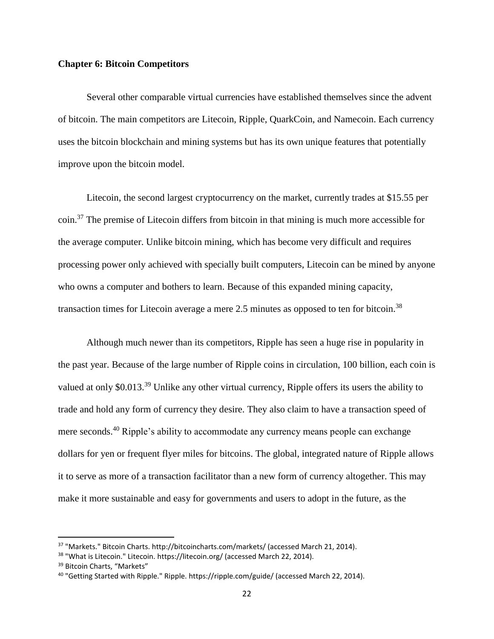#### **Chapter 6: Bitcoin Competitors**

Several other comparable virtual currencies have established themselves since the advent of bitcoin. The main competitors are Litecoin, Ripple, QuarkCoin, and Namecoin. Each currency uses the bitcoin blockchain and mining systems but has its own unique features that potentially improve upon the bitcoin model.

Litecoin, the second largest cryptocurrency on the market, currently trades at \$15.55 per coin.<sup>37</sup> The premise of Litecoin differs from bitcoin in that mining is much more accessible for the average computer. Unlike bitcoin mining, which has become very difficult and requires processing power only achieved with specially built computers, Litecoin can be mined by anyone who owns a computer and bothers to learn. Because of this expanded mining capacity, transaction times for Litecoin average a mere 2.5 minutes as opposed to ten for bitcoin.<sup>38</sup>

Although much newer than its competitors, Ripple has seen a huge rise in popularity in the past year. Because of the large number of Ripple coins in circulation, 100 billion, each coin is valued at only \$0.013.<sup>39</sup> Unlike any other virtual currency, Ripple offers its users the ability to trade and hold any form of currency they desire. They also claim to have a transaction speed of mere seconds.<sup>40</sup> Ripple's ability to accommodate any currency means people can exchange dollars for yen or frequent flyer miles for bitcoins. The global, integrated nature of Ripple allows it to serve as more of a transaction facilitator than a new form of currency altogether. This may make it more sustainable and easy for governments and users to adopt in the future, as the

<sup>&</sup>lt;sup>37</sup> "Markets." Bitcoin Charts. http://bitcoincharts.com/markets/ (accessed March 21, 2014).

<sup>&</sup>lt;sup>38</sup> "What is Litecoin." Litecoin. https://litecoin.org/ (accessed March 22, 2014).

<sup>&</sup>lt;sup>39</sup> Bitcoin Charts, "Markets"

<sup>40</sup> "Getting Started with Ripple." Ripple. https://ripple.com/guide/ (accessed March 22, 2014).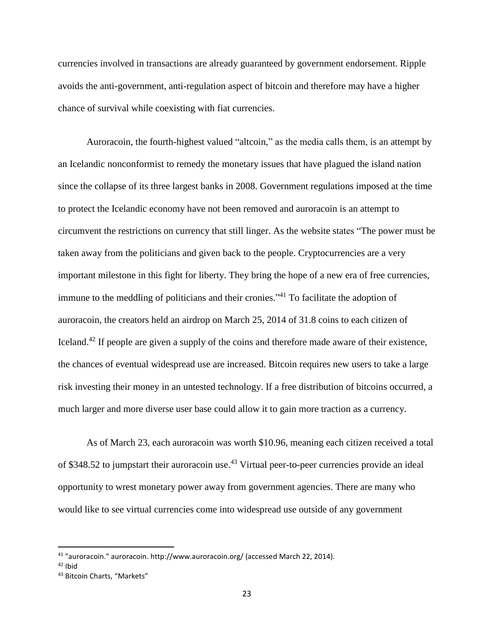currencies involved in transactions are already guaranteed by government endorsement. Ripple avoids the anti-government, anti-regulation aspect of bitcoin and therefore may have a higher chance of survival while coexisting with fiat currencies.

Auroracoin, the fourth-highest valued "altcoin," as the media calls them, is an attempt by an Icelandic nonconformist to remedy the monetary issues that have plagued the island nation since the collapse of its three largest banks in 2008. Government regulations imposed at the time to protect the Icelandic economy have not been removed and auroracoin is an attempt to circumvent the restrictions on currency that still linger. As the website states "The power must be taken away from the politicians and given back to the people. Cryptocurrencies are a very important milestone in this fight for liberty. They bring the hope of a new era of free currencies, immune to the meddling of politicians and their cronies."<sup>41</sup> To facilitate the adoption of auroracoin, the creators held an airdrop on March 25, 2014 of 31.8 coins to each citizen of Iceland.<sup>42</sup> If people are given a supply of the coins and therefore made aware of their existence, the chances of eventual widespread use are increased. Bitcoin requires new users to take a large risk investing their money in an untested technology. If a free distribution of bitcoins occurred, a much larger and more diverse user base could allow it to gain more traction as a currency.

As of March 23, each auroracoin was worth \$10.96, meaning each citizen received a total of \$348.52 to jumpstart their auroracoin use.<sup>43</sup> Virtual peer-to-peer currencies provide an ideal opportunity to wrest monetary power away from government agencies. There are many who would like to see virtual currencies come into widespread use outside of any government

<sup>41</sup> "auroracoin." auroracoin. http://www.auroracoin.org/ (accessed March 22, 2014).

 $42$  Ihid

<sup>43</sup> Bitcoin Charts, "Markets"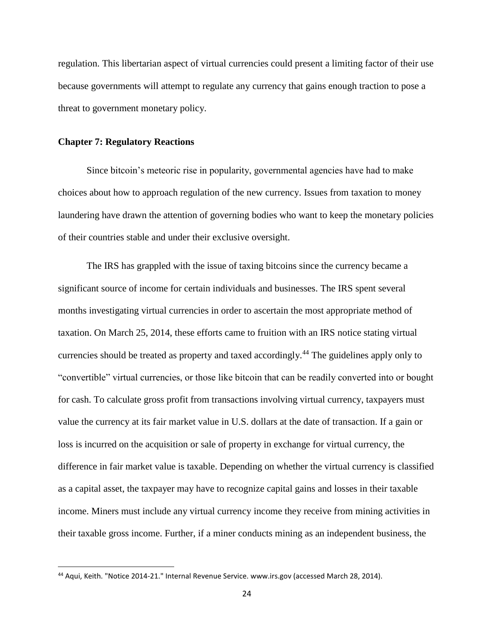regulation. This libertarian aspect of virtual currencies could present a limiting factor of their use because governments will attempt to regulate any currency that gains enough traction to pose a threat to government monetary policy.

#### **Chapter 7: Regulatory Reactions**

 $\overline{\phantom{a}}$ 

Since bitcoin's meteoric rise in popularity, governmental agencies have had to make choices about how to approach regulation of the new currency. Issues from taxation to money laundering have drawn the attention of governing bodies who want to keep the monetary policies of their countries stable and under their exclusive oversight.

The IRS has grappled with the issue of taxing bitcoins since the currency became a significant source of income for certain individuals and businesses. The IRS spent several months investigating virtual currencies in order to ascertain the most appropriate method of taxation. On March 25, 2014, these efforts came to fruition with an IRS notice stating virtual currencies should be treated as property and taxed accordingly.<sup>44</sup> The guidelines apply only to "convertible" virtual currencies, or those like bitcoin that can be readily converted into or bought for cash. To calculate gross profit from transactions involving virtual currency, taxpayers must value the currency at its fair market value in U.S. dollars at the date of transaction. If a gain or loss is incurred on the acquisition or sale of property in exchange for virtual currency, the difference in fair market value is taxable. Depending on whether the virtual currency is classified as a capital asset, the taxpayer may have to recognize capital gains and losses in their taxable income. Miners must include any virtual currency income they receive from mining activities in their taxable gross income. Further, if a miner conducts mining as an independent business, the

<sup>44</sup> Aqui, Keith. "Notice 2014-21." Internal Revenue Service. www.irs.gov (accessed March 28, 2014).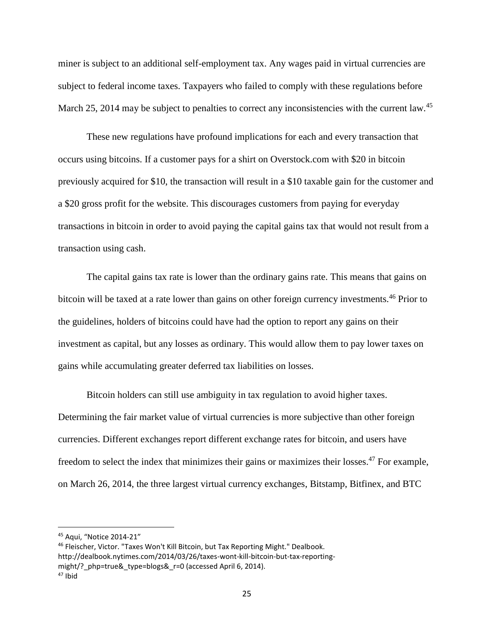miner is subject to an additional self-employment tax. Any wages paid in virtual currencies are subject to federal income taxes. Taxpayers who failed to comply with these regulations before March 25, 2014 may be subject to penalties to correct any inconsistencies with the current law.<sup>45</sup>

These new regulations have profound implications for each and every transaction that occurs using bitcoins. If a customer pays for a shirt on Overstock.com with \$20 in bitcoin previously acquired for \$10, the transaction will result in a \$10 taxable gain for the customer and a \$20 gross profit for the website. This discourages customers from paying for everyday transactions in bitcoin in order to avoid paying the capital gains tax that would not result from a transaction using cash.

The capital gains tax rate is lower than the ordinary gains rate. This means that gains on bitcoin will be taxed at a rate lower than gains on other foreign currency investments.<sup>46</sup> Prior to the guidelines, holders of bitcoins could have had the option to report any gains on their investment as capital, but any losses as ordinary. This would allow them to pay lower taxes on gains while accumulating greater deferred tax liabilities on losses.

Bitcoin holders can still use ambiguity in tax regulation to avoid higher taxes. Determining the fair market value of virtual currencies is more subjective than other foreign currencies. Different exchanges report different exchange rates for bitcoin, and users have freedom to select the index that minimizes their gains or maximizes their losses.<sup>47</sup> For example, on March 26, 2014, the three largest virtual currency exchanges, Bitstamp, Bitfinex, and BTC

<sup>45</sup> Aqui, "Notice 2014-21"

<sup>46</sup> Fleischer, Victor. "Taxes Won't Kill Bitcoin, but Tax Reporting Might." Dealbook. http://dealbook.nytimes.com/2014/03/26/taxes-wont-kill-bitcoin-but-tax-reportingmight/? php=true& type=blogs& r=0 (accessed April 6, 2014).

<sup>47</sup> Ibid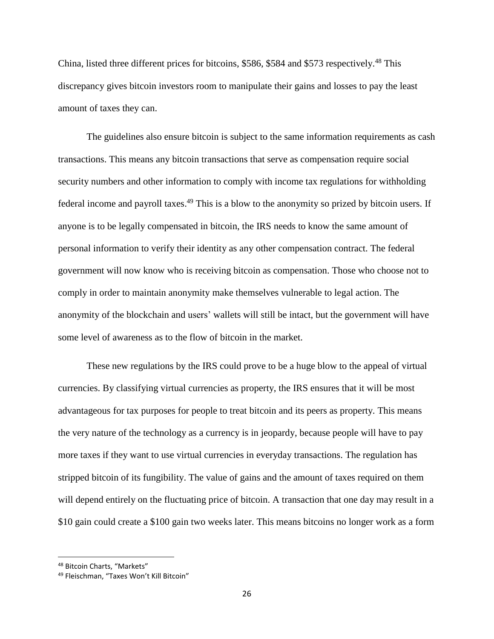China, listed three different prices for bitcoins, \$586, \$584 and \$573 respectively.<sup>48</sup> This discrepancy gives bitcoin investors room to manipulate their gains and losses to pay the least amount of taxes they can.

The guidelines also ensure bitcoin is subject to the same information requirements as cash transactions. This means any bitcoin transactions that serve as compensation require social security numbers and other information to comply with income tax regulations for withholding federal income and payroll taxes.<sup>49</sup> This is a blow to the anonymity so prized by bitcoin users. If anyone is to be legally compensated in bitcoin, the IRS needs to know the same amount of personal information to verify their identity as any other compensation contract. The federal government will now know who is receiving bitcoin as compensation. Those who choose not to comply in order to maintain anonymity make themselves vulnerable to legal action. The anonymity of the blockchain and users' wallets will still be intact, but the government will have some level of awareness as to the flow of bitcoin in the market.

These new regulations by the IRS could prove to be a huge blow to the appeal of virtual currencies. By classifying virtual currencies as property, the IRS ensures that it will be most advantageous for tax purposes for people to treat bitcoin and its peers as property. This means the very nature of the technology as a currency is in jeopardy, because people will have to pay more taxes if they want to use virtual currencies in everyday transactions. The regulation has stripped bitcoin of its fungibility. The value of gains and the amount of taxes required on them will depend entirely on the fluctuating price of bitcoin. A transaction that one day may result in a \$10 gain could create a \$100 gain two weeks later. This means bitcoins no longer work as a form

<sup>48</sup> Bitcoin Charts, "Markets"

<sup>49</sup> Fleischman, "Taxes Won't Kill Bitcoin"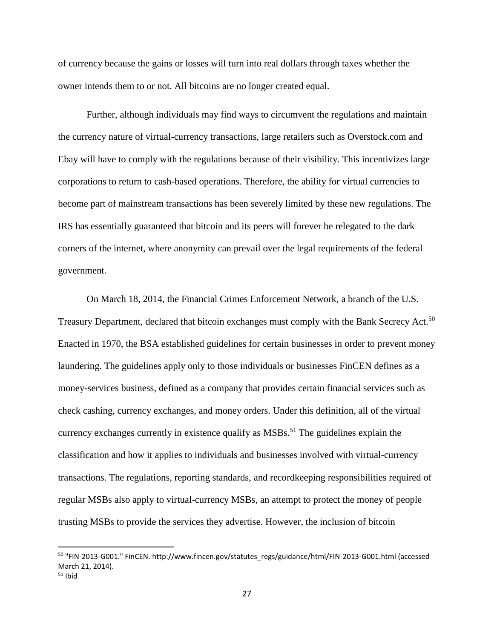of currency because the gains or losses will turn into real dollars through taxes whether the owner intends them to or not. All bitcoins are no longer created equal.

Further, although individuals may find ways to circumvent the regulations and maintain the currency nature of virtual-currency transactions, large retailers such as Overstock.com and Ebay will have to comply with the regulations because of their visibility. This incentivizes large corporations to return to cash-based operations. Therefore, the ability for virtual currencies to become part of mainstream transactions has been severely limited by these new regulations. The IRS has essentially guaranteed that bitcoin and its peers will forever be relegated to the dark corners of the internet, where anonymity can prevail over the legal requirements of the federal government.

On March 18, 2014, the Financial Crimes Enforcement Network, a branch of the U.S. Treasury Department, declared that bitcoin exchanges must comply with the Bank Secrecy Act.<sup>50</sup> Enacted in 1970, the BSA established guidelines for certain businesses in order to prevent money laundering. The guidelines apply only to those individuals or businesses FinCEN defines as a money-services business, defined as a company that provides certain financial services such as check cashing, currency exchanges, and money orders. Under this definition, all of the virtual currency exchanges currently in existence qualify as  $MSBs$ <sup>51</sup>. The guidelines explain the classification and how it applies to individuals and businesses involved with virtual-currency transactions. The regulations, reporting standards, and recordkeeping responsibilities required of regular MSBs also apply to virtual-currency MSBs, an attempt to protect the money of people trusting MSBs to provide the services they advertise. However, the inclusion of bitcoin

<sup>50 &</sup>quot;FIN-2013-G001." FinCEN. http://www.fincen.gov/statutes\_regs/guidance/html/FIN-2013-G001.html (accessed March 21, 2014).

 $51$  Ibid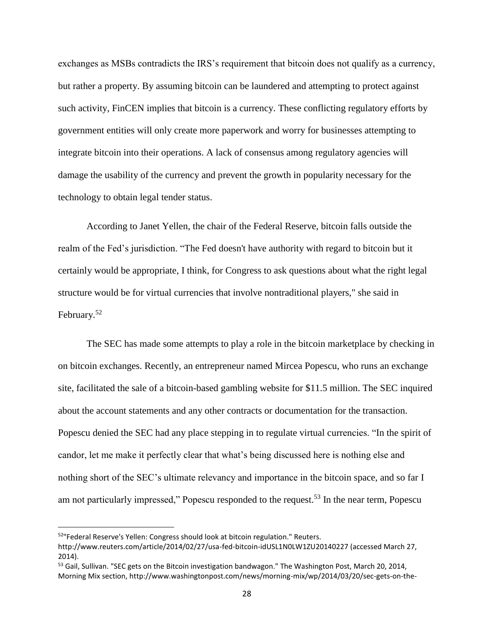exchanges as MSBs contradicts the IRS's requirement that bitcoin does not qualify as a currency, but rather a property. By assuming bitcoin can be laundered and attempting to protect against such activity, FinCEN implies that bitcoin is a currency. These conflicting regulatory efforts by government entities will only create more paperwork and worry for businesses attempting to integrate bitcoin into their operations. A lack of consensus among regulatory agencies will damage the usability of the currency and prevent the growth in popularity necessary for the technology to obtain legal tender status.

According to Janet Yellen, the chair of the Federal Reserve, bitcoin falls outside the realm of the Fed's jurisdiction. "The Fed doesn't have authority with regard to bitcoin but it certainly would be appropriate, I think, for Congress to ask questions about what the right legal structure would be for virtual currencies that involve nontraditional players," she said in February.<sup>52</sup>

The SEC has made some attempts to play a role in the bitcoin marketplace by checking in on bitcoin exchanges. Recently, an entrepreneur named Mircea Popescu, who runs an exchange site, facilitated the sale of a bitcoin-based gambling website for \$11.5 million. The SEC inquired about the account statements and any other contracts or documentation for the transaction. Popescu denied the SEC had any place stepping in to regulate virtual currencies. "In the spirit of candor, let me make it perfectly clear that what's being discussed here is nothing else and nothing short of the SEC's ultimate relevancy and importance in the bitcoin space, and so far I am not particularly impressed," Popescu responded to the request.<sup>53</sup> In the near term, Popescu

<sup>&</sup>lt;sup>52</sup>"Federal Reserve's Yellen: Congress should look at bitcoin regulation." Reuters.

http://www.reuters.com/article/2014/02/27/usa-fed-bitcoin-idUSL1N0LW1ZU20140227 (accessed March 27, 2014).

<sup>&</sup>lt;sup>53</sup> Gail, Sullivan. "SEC gets on the Bitcoin investigation bandwagon." The Washington Post, March 20, 2014, Morning Mix section, http://www.washingtonpost.com/news/morning-mix/wp/2014/03/20/sec-gets-on-the-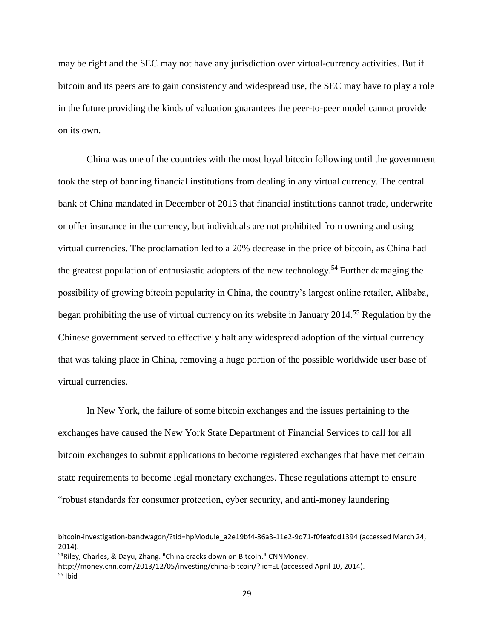may be right and the SEC may not have any jurisdiction over virtual-currency activities. But if bitcoin and its peers are to gain consistency and widespread use, the SEC may have to play a role in the future providing the kinds of valuation guarantees the peer-to-peer model cannot provide on its own.

China was one of the countries with the most loyal bitcoin following until the government took the step of banning financial institutions from dealing in any virtual currency. The central bank of China mandated in December of 2013 that financial institutions cannot trade, underwrite or offer insurance in the currency, but individuals are not prohibited from owning and using virtual currencies. The proclamation led to a 20% decrease in the price of bitcoin, as China had the greatest population of enthusiastic adopters of the new technology.<sup>54</sup> Further damaging the possibility of growing bitcoin popularity in China, the country's largest online retailer, Alibaba, began prohibiting the use of virtual currency on its website in January 2014.<sup>55</sup> Regulation by the Chinese government served to effectively halt any widespread adoption of the virtual currency that was taking place in China, removing a huge portion of the possible worldwide user base of virtual currencies.

In New York, the failure of some bitcoin exchanges and the issues pertaining to the exchanges have caused the New York State Department of Financial Services to call for all bitcoin exchanges to submit applications to become registered exchanges that have met certain state requirements to become legal monetary exchanges. These regulations attempt to ensure "robust standards for consumer protection, cyber security, and anti-money laundering

bitcoin-investigation-bandwagon/?tid=hpModule\_a2e19bf4-86a3-11e2-9d71-f0feafdd1394 (accessed March 24, 2014).

<sup>54</sup>Riley, Charles, & Dayu, Zhang. "China cracks down on Bitcoin." CNNMoney.

http://money.cnn.com/2013/12/05/investing/china-bitcoin/?iid=EL (accessed April 10, 2014).  $55$  Ibid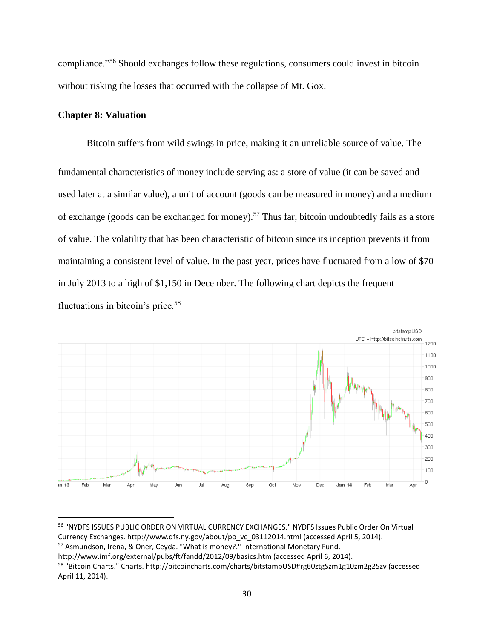compliance."<sup>56</sup> Should exchanges follow these regulations, consumers could invest in bitcoin without risking the losses that occurred with the collapse of Mt. Gox.

#### **Chapter 8: Valuation**

 $\overline{a}$ 

Bitcoin suffers from wild swings in price, making it an unreliable source of value. The fundamental characteristics of money include serving as: a store of value (it can be saved and used later at a similar value), a unit of account (goods can be measured in money) and a medium of exchange (goods can be exchanged for money).<sup>57</sup> Thus far, bitcoin undoubtedly fails as a store of value. The volatility that has been characteristic of bitcoin since its inception prevents it from maintaining a consistent level of value. In the past year, prices have fluctuated from a low of \$70 in July 2013 to a high of \$1,150 in December. The following chart depicts the frequent fluctuations in bitcoin's price.<sup>58</sup>



<sup>56</sup> "NYDFS ISSUES PUBLIC ORDER ON VIRTUAL CURRENCY EXCHANGES." NYDFS Issues Public Order On Virtual Currency Exchanges. http://www.dfs.ny.gov/about/po\_vc\_03112014.html (accessed April 5, 2014).

<sup>57</sup> Asmundson, Irena, & Oner, Ceyda. "What is money?." International Monetary Fund.

http://www.imf.org/external/pubs/ft/fandd/2012/09/basics.htm (accessed April 6, 2014).

<sup>58</sup> "Bitcoin Charts." Charts. http://bitcoincharts.com/charts/bitstampUSD#rg60ztgSzm1g10zm2g25zv (accessed April 11, 2014).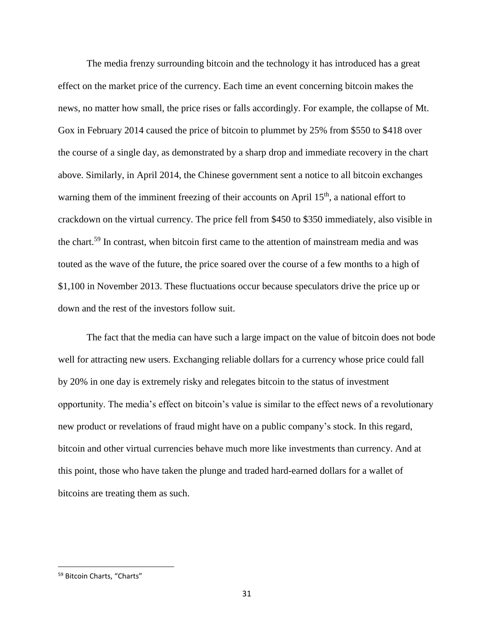The media frenzy surrounding bitcoin and the technology it has introduced has a great effect on the market price of the currency. Each time an event concerning bitcoin makes the news, no matter how small, the price rises or falls accordingly. For example, the collapse of Mt. Gox in February 2014 caused the price of bitcoin to plummet by 25% from \$550 to \$418 over the course of a single day, as demonstrated by a sharp drop and immediate recovery in the chart above. Similarly, in April 2014, the Chinese government sent a notice to all bitcoin exchanges warning them of the imminent freezing of their accounts on April 15<sup>th</sup>, a national effort to crackdown on the virtual currency. The price fell from \$450 to \$350 immediately, also visible in the chart.<sup>59</sup> In contrast, when bitcoin first came to the attention of mainstream media and was touted as the wave of the future, the price soared over the course of a few months to a high of \$1,100 in November 2013. These fluctuations occur because speculators drive the price up or down and the rest of the investors follow suit.

The fact that the media can have such a large impact on the value of bitcoin does not bode well for attracting new users. Exchanging reliable dollars for a currency whose price could fall by 20% in one day is extremely risky and relegates bitcoin to the status of investment opportunity. The media's effect on bitcoin's value is similar to the effect news of a revolutionary new product or revelations of fraud might have on a public company's stock. In this regard, bitcoin and other virtual currencies behave much more like investments than currency. And at this point, those who have taken the plunge and traded hard-earned dollars for a wallet of bitcoins are treating them as such.

<sup>59</sup> Bitcoin Charts, "Charts"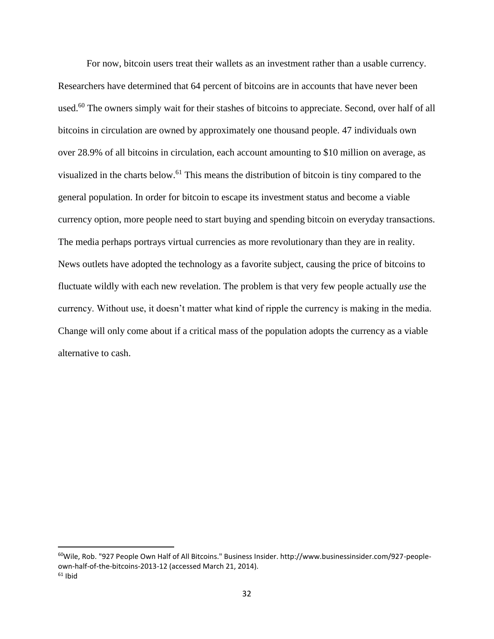For now, bitcoin users treat their wallets as an investment rather than a usable currency. Researchers have determined that 64 percent of bitcoins are in accounts that have never been used.<sup>60</sup> The owners simply wait for their stashes of bitcoins to appreciate. Second, over half of all bitcoins in circulation are owned by approximately one thousand people. 47 individuals own over 28.9% of all bitcoins in circulation, each account amounting to \$10 million on average, as visualized in the charts below.<sup>61</sup> This means the distribution of bitcoin is tiny compared to the general population. In order for bitcoin to escape its investment status and become a viable currency option, more people need to start buying and spending bitcoin on everyday transactions. The media perhaps portrays virtual currencies as more revolutionary than they are in reality. News outlets have adopted the technology as a favorite subject, causing the price of bitcoins to fluctuate wildly with each new revelation. The problem is that very few people actually *use* the currency. Without use, it doesn't matter what kind of ripple the currency is making in the media. Change will only come about if a critical mass of the population adopts the currency as a viable alternative to cash.

<sup>60</sup>Wile, Rob. "927 People Own Half of All Bitcoins." Business Insider. http://www.businessinsider.com/927-peopleown-half-of-the-bitcoins-2013-12 (accessed March 21, 2014).  $61$  Ibid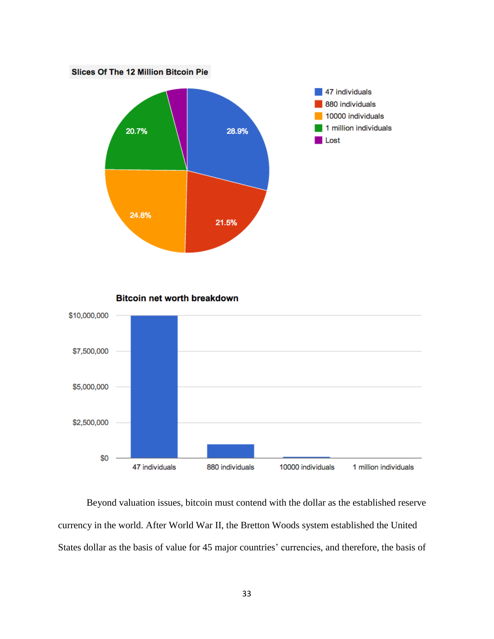

**Bitcoin net worth breakdown** 



Beyond valuation issues, bitcoin must contend with the dollar as the established reserve currency in the world. After World War II, the Bretton Woods system established the United States dollar as the basis of value for 45 major countries' currencies, and therefore, the basis of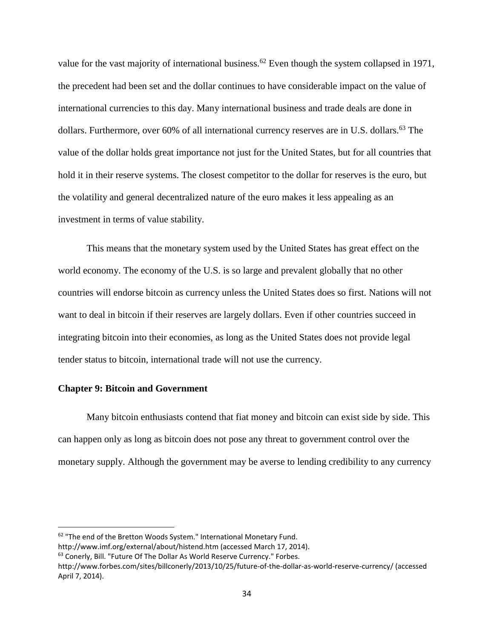value for the vast majority of international business.<sup>62</sup> Even though the system collapsed in 1971, the precedent had been set and the dollar continues to have considerable impact on the value of international currencies to this day. Many international business and trade deals are done in dollars. Furthermore, over 60% of all international currency reserves are in U.S. dollars.<sup>63</sup> The value of the dollar holds great importance not just for the United States, but for all countries that hold it in their reserve systems. The closest competitor to the dollar for reserves is the euro, but the volatility and general decentralized nature of the euro makes it less appealing as an investment in terms of value stability.

This means that the monetary system used by the United States has great effect on the world economy. The economy of the U.S. is so large and prevalent globally that no other countries will endorse bitcoin as currency unless the United States does so first. Nations will not want to deal in bitcoin if their reserves are largely dollars. Even if other countries succeed in integrating bitcoin into their economies, as long as the United States does not provide legal tender status to bitcoin, international trade will not use the currency.

#### **Chapter 9: Bitcoin and Government**

l

Many bitcoin enthusiasts contend that fiat money and bitcoin can exist side by side. This can happen only as long as bitcoin does not pose any threat to government control over the monetary supply. Although the government may be averse to lending credibility to any currency

<sup>&</sup>lt;sup>62</sup> "The end of the Bretton Woods System." International Monetary Fund.

http://www.imf.org/external/about/histend.htm (accessed March 17, 2014).

<sup>63</sup> Conerly, Bill. "Future Of The Dollar As World Reserve Currency." Forbes.

http://www.forbes.com/sites/billconerly/2013/10/25/future-of-the-dollar-as-world-reserve-currency/ (accessed April 7, 2014).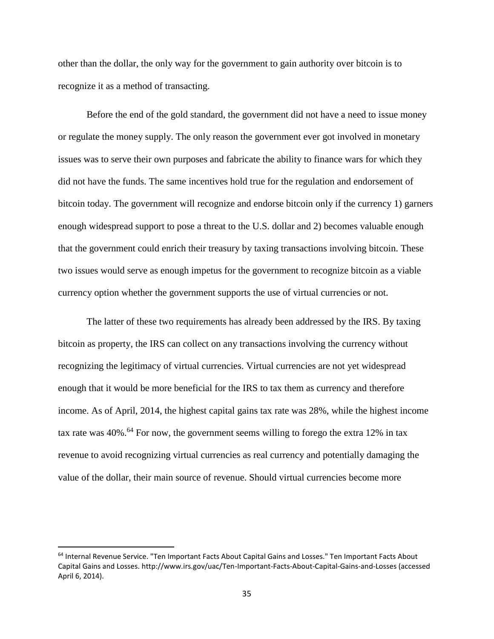other than the dollar, the only way for the government to gain authority over bitcoin is to recognize it as a method of transacting.

Before the end of the gold standard, the government did not have a need to issue money or regulate the money supply. The only reason the government ever got involved in monetary issues was to serve their own purposes and fabricate the ability to finance wars for which they did not have the funds. The same incentives hold true for the regulation and endorsement of bitcoin today. The government will recognize and endorse bitcoin only if the currency 1) garners enough widespread support to pose a threat to the U.S. dollar and 2) becomes valuable enough that the government could enrich their treasury by taxing transactions involving bitcoin. These two issues would serve as enough impetus for the government to recognize bitcoin as a viable currency option whether the government supports the use of virtual currencies or not.

The latter of these two requirements has already been addressed by the IRS. By taxing bitcoin as property, the IRS can collect on any transactions involving the currency without recognizing the legitimacy of virtual currencies. Virtual currencies are not yet widespread enough that it would be more beneficial for the IRS to tax them as currency and therefore income. As of April, 2014, the highest capital gains tax rate was 28%, while the highest income tax rate was  $40\%$ .<sup>64</sup> For now, the government seems willing to forego the extra 12% in tax revenue to avoid recognizing virtual currencies as real currency and potentially damaging the value of the dollar, their main source of revenue. Should virtual currencies become more

<sup>64</sup> Internal Revenue Service. "Ten Important Facts About Capital Gains and Losses." Ten Important Facts About Capital Gains and Losses. http://www.irs.gov/uac/Ten-Important-Facts-About-Capital-Gains-and-Losses (accessed April 6, 2014).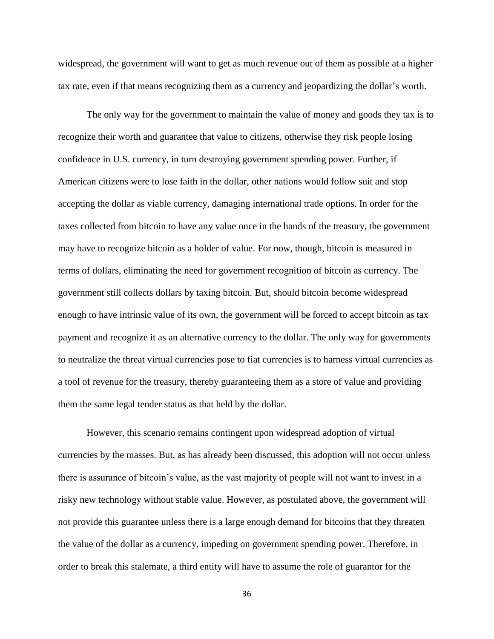widespread, the government will want to get as much revenue out of them as possible at a higher tax rate, even if that means recognizing them as a currency and jeopardizing the dollar's worth.

The only way for the government to maintain the value of money and goods they tax is to recognize their worth and guarantee that value to citizens, otherwise they risk people losing confidence in U.S. currency, in turn destroying government spending power. Further, if American citizens were to lose faith in the dollar, other nations would follow suit and stop accepting the dollar as viable currency, damaging international trade options. In order for the taxes collected from bitcoin to have any value once in the hands of the treasury, the government may have to recognize bitcoin as a holder of value. For now, though, bitcoin is measured in terms of dollars, eliminating the need for government recognition of bitcoin as currency. The government still collects dollars by taxing bitcoin. But, should bitcoin become widespread enough to have intrinsic value of its own, the government will be forced to accept bitcoin as tax payment and recognize it as an alternative currency to the dollar. The only way for governments to neutralize the threat virtual currencies pose to fiat currencies is to harness virtual currencies as a tool of revenue for the treasury, thereby guaranteeing them as a store of value and providing them the same legal tender status as that held by the dollar.

However, this scenario remains contingent upon widespread adoption of virtual currencies by the masses. But, as has already been discussed, this adoption will not occur unless there is assurance of bitcoin's value, as the vast majority of people will not want to invest in a risky new technology without stable value. However, as postulated above, the government will not provide this guarantee unless there is a large enough demand for bitcoins that they threaten the value of the dollar as a currency, impeding on government spending power. Therefore, in order to break this stalemate, a third entity will have to assume the role of guarantor for the

36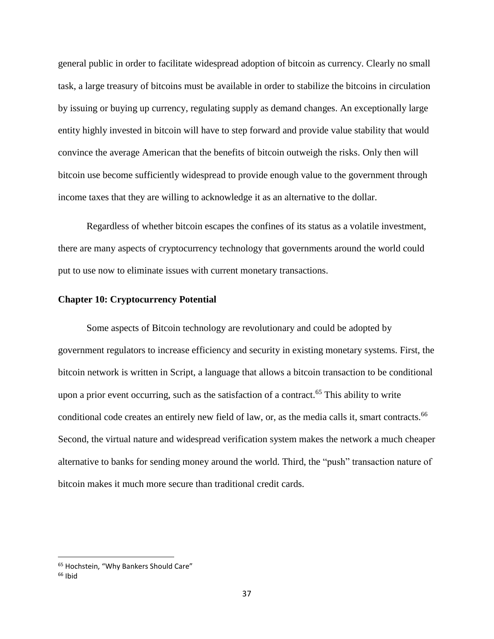general public in order to facilitate widespread adoption of bitcoin as currency. Clearly no small task, a large treasury of bitcoins must be available in order to stabilize the bitcoins in circulation by issuing or buying up currency, regulating supply as demand changes. An exceptionally large entity highly invested in bitcoin will have to step forward and provide value stability that would convince the average American that the benefits of bitcoin outweigh the risks. Only then will bitcoin use become sufficiently widespread to provide enough value to the government through income taxes that they are willing to acknowledge it as an alternative to the dollar.

Regardless of whether bitcoin escapes the confines of its status as a volatile investment, there are many aspects of cryptocurrency technology that governments around the world could put to use now to eliminate issues with current monetary transactions.

#### **Chapter 10: Cryptocurrency Potential**

Some aspects of Bitcoin technology are revolutionary and could be adopted by government regulators to increase efficiency and security in existing monetary systems. First, the bitcoin network is written in Script, a language that allows a bitcoin transaction to be conditional upon a prior event occurring, such as the satisfaction of a contract.<sup>65</sup> This ability to write conditional code creates an entirely new field of law, or, as the media calls it, smart contracts.<sup>66</sup> Second, the virtual nature and widespread verification system makes the network a much cheaper alternative to banks for sending money around the world. Third, the "push" transaction nature of bitcoin makes it much more secure than traditional credit cards.

<sup>&</sup>lt;sup>65</sup> Hochstein, "Why Bankers Should Care"

 $66$  Ibid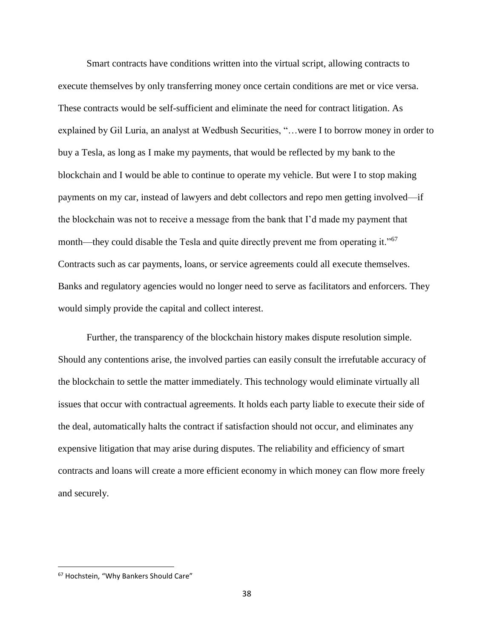Smart contracts have conditions written into the virtual script, allowing contracts to execute themselves by only transferring money once certain conditions are met or vice versa. These contracts would be self-sufficient and eliminate the need for contract litigation. As explained by Gil Luria, an analyst at Wedbush Securities, "…were I to borrow money in order to buy a Tesla, as long as I make my payments, that would be reflected by my bank to the blockchain and I would be able to continue to operate my vehicle. But were I to stop making payments on my car, instead of lawyers and debt collectors and repo men getting involved—if the blockchain was not to receive a message from the bank that I'd made my payment that month—they could disable the Tesla and quite directly prevent me from operating it."<sup>67</sup> Contracts such as car payments, loans, or service agreements could all execute themselves. Banks and regulatory agencies would no longer need to serve as facilitators and enforcers. They would simply provide the capital and collect interest.

Further, the transparency of the blockchain history makes dispute resolution simple. Should any contentions arise, the involved parties can easily consult the irrefutable accuracy of the blockchain to settle the matter immediately. This technology would eliminate virtually all issues that occur with contractual agreements. It holds each party liable to execute their side of the deal, automatically halts the contract if satisfaction should not occur, and eliminates any expensive litigation that may arise during disputes. The reliability and efficiency of smart contracts and loans will create a more efficient economy in which money can flow more freely and securely.

<sup>67</sup> Hochstein, "Why Bankers Should Care"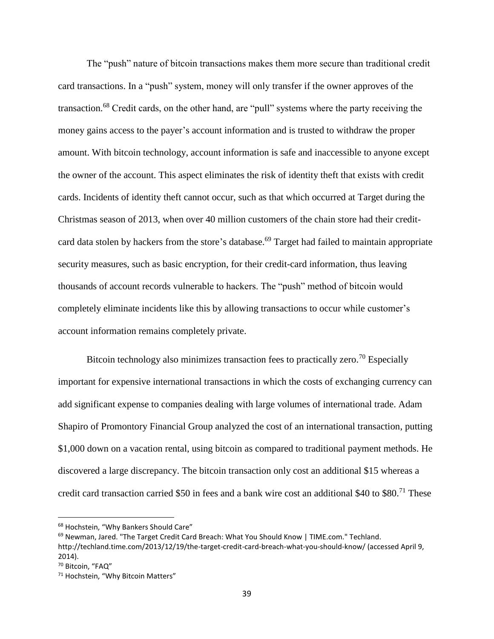The "push" nature of bitcoin transactions makes them more secure than traditional credit card transactions. In a "push" system, money will only transfer if the owner approves of the transaction.<sup>68</sup> Credit cards, on the other hand, are "pull" systems where the party receiving the money gains access to the payer's account information and is trusted to withdraw the proper amount. With bitcoin technology, account information is safe and inaccessible to anyone except the owner of the account. This aspect eliminates the risk of identity theft that exists with credit cards. Incidents of identity theft cannot occur, such as that which occurred at Target during the Christmas season of 2013, when over 40 million customers of the chain store had their creditcard data stolen by hackers from the store's database.<sup>69</sup> Target had failed to maintain appropriate security measures, such as basic encryption, for their credit-card information, thus leaving thousands of account records vulnerable to hackers. The "push" method of bitcoin would completely eliminate incidents like this by allowing transactions to occur while customer's account information remains completely private.

Bitcoin technology also minimizes transaction fees to practically zero.<sup>70</sup> Especially important for expensive international transactions in which the costs of exchanging currency can add significant expense to companies dealing with large volumes of international trade. Adam Shapiro of Promontory Financial Group analyzed the cost of an international transaction, putting \$1,000 down on a vacation rental, using bitcoin as compared to traditional payment methods. He discovered a large discrepancy. The bitcoin transaction only cost an additional \$15 whereas a credit card transaction carried \$50 in fees and a bank wire cost an additional \$40 to \$80.<sup>71</sup> These

<sup>68</sup> Hochstein, "Why Bankers Should Care"

 $69$  Newman, Jared. "The Target Credit Card Breach: What You Should Know | TIME.com." Techland.

http://techland.time.com/2013/12/19/the-target-credit-card-breach-what-you-should-know/ (accessed April 9, 2014).

<sup>70</sup> Bitcoin, "FAQ"

<sup>71</sup> Hochstein, "Why Bitcoin Matters"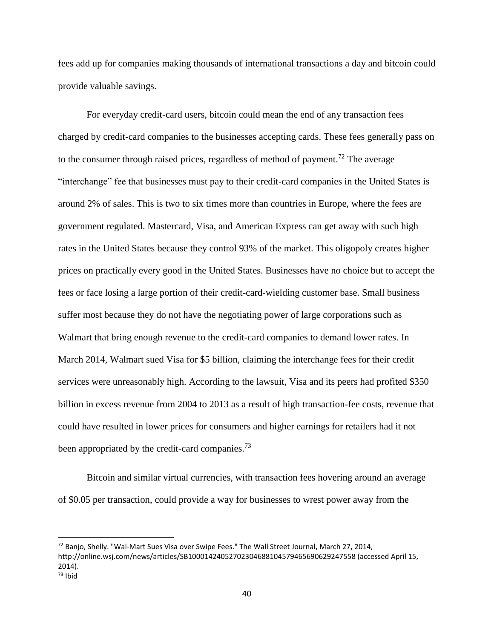fees add up for companies making thousands of international transactions a day and bitcoin could provide valuable savings.

For everyday credit-card users, bitcoin could mean the end of any transaction fees charged by credit-card companies to the businesses accepting cards. These fees generally pass on to the consumer through raised prices, regardless of method of payment.<sup>72</sup> The average "interchange" fee that businesses must pay to their credit-card companies in the United States is around 2% of sales. This is two to six times more than countries in Europe, where the fees are government regulated. Mastercard, Visa, and American Express can get away with such high rates in the United States because they control 93% of the market. This oligopoly creates higher prices on practically every good in the United States. Businesses have no choice but to accept the fees or face losing a large portion of their credit-card-wielding customer base. Small business suffer most because they do not have the negotiating power of large corporations such as Walmart that bring enough revenue to the credit-card companies to demand lower rates. In March 2014, Walmart sued Visa for \$5 billion, claiming the interchange fees for their credit services were unreasonably high. According to the lawsuit, Visa and its peers had profited \$350 billion in excess revenue from 2004 to 2013 as a result of high transaction-fee costs, revenue that could have resulted in lower prices for consumers and higher earnings for retailers had it not been appropriated by the credit-card companies.<sup>73</sup>

Bitcoin and similar virtual currencies, with transaction fees hovering around an average of \$0.05 per transaction, could provide a way for businesses to wrest power away from the

<sup>72</sup> Banjo, Shelly. "Wal-Mart Sues Visa over Swipe Fees." The Wall Street Journal, March 27, 2014, http://online.wsj.com/news/articles/SB10001424052702304688104579465690629247558 (accessed April 15, 2014).  $73$  Ihid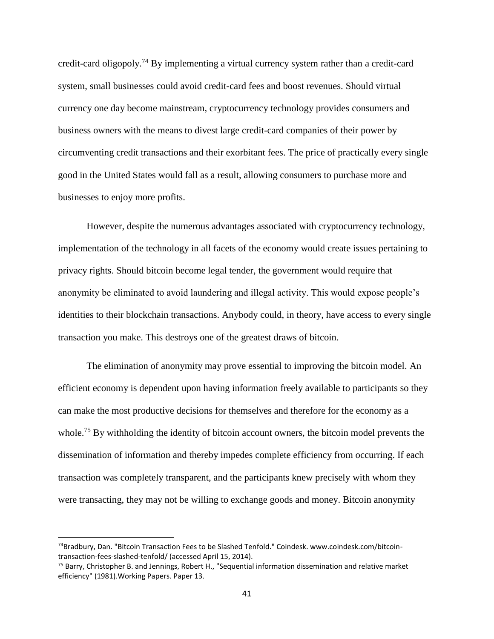credit-card oligopoly.<sup>74</sup> By implementing a virtual currency system rather than a credit-card system, small businesses could avoid credit-card fees and boost revenues. Should virtual currency one day become mainstream, cryptocurrency technology provides consumers and business owners with the means to divest large credit-card companies of their power by circumventing credit transactions and their exorbitant fees. The price of practically every single good in the United States would fall as a result, allowing consumers to purchase more and businesses to enjoy more profits.

However, despite the numerous advantages associated with cryptocurrency technology, implementation of the technology in all facets of the economy would create issues pertaining to privacy rights. Should bitcoin become legal tender, the government would require that anonymity be eliminated to avoid laundering and illegal activity. This would expose people's identities to their blockchain transactions. Anybody could, in theory, have access to every single transaction you make. This destroys one of the greatest draws of bitcoin.

The elimination of anonymity may prove essential to improving the bitcoin model. An efficient economy is dependent upon having information freely available to participants so they can make the most productive decisions for themselves and therefore for the economy as a whole.<sup>75</sup> By withholding the identity of bitcoin account owners, the bitcoin model prevents the dissemination of information and thereby impedes complete efficiency from occurring. If each transaction was completely transparent, and the participants knew precisely with whom they were transacting, they may not be willing to exchange goods and money. Bitcoin anonymity

<sup>74</sup>Bradbury, Dan. "Bitcoin Transaction Fees to be Slashed Tenfold." Coindesk. www.coindesk.com/bitcointransaction-fees-slashed-tenfold/ (accessed April 15, 2014).

<sup>75</sup> Barry, Christopher B. and Jennings, Robert H., "Sequential information dissemination and relative market efficiency" (1981).Working Papers. Paper 13.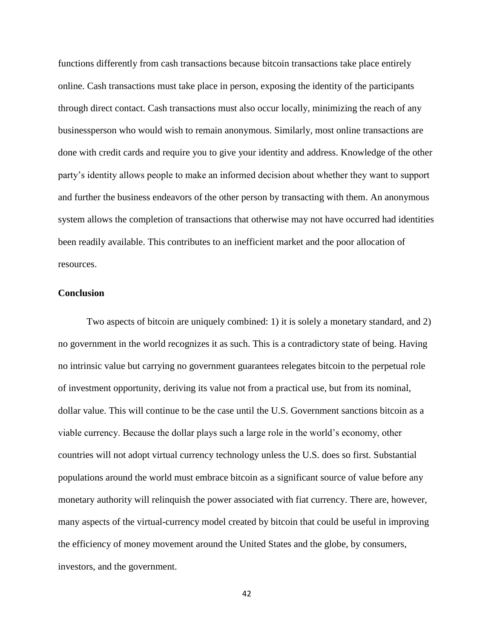functions differently from cash transactions because bitcoin transactions take place entirely online. Cash transactions must take place in person, exposing the identity of the participants through direct contact. Cash transactions must also occur locally, minimizing the reach of any businessperson who would wish to remain anonymous. Similarly, most online transactions are done with credit cards and require you to give your identity and address. Knowledge of the other party's identity allows people to make an informed decision about whether they want to support and further the business endeavors of the other person by transacting with them. An anonymous system allows the completion of transactions that otherwise may not have occurred had identities been readily available. This contributes to an inefficient market and the poor allocation of resources.

#### **Conclusion**

Two aspects of bitcoin are uniquely combined: 1) it is solely a monetary standard, and 2) no government in the world recognizes it as such. This is a contradictory state of being. Having no intrinsic value but carrying no government guarantees relegates bitcoin to the perpetual role of investment opportunity, deriving its value not from a practical use, but from its nominal, dollar value. This will continue to be the case until the U.S. Government sanctions bitcoin as a viable currency. Because the dollar plays such a large role in the world's economy, other countries will not adopt virtual currency technology unless the U.S. does so first. Substantial populations around the world must embrace bitcoin as a significant source of value before any monetary authority will relinquish the power associated with fiat currency. There are, however, many aspects of the virtual-currency model created by bitcoin that could be useful in improving the efficiency of money movement around the United States and the globe, by consumers, investors, and the government.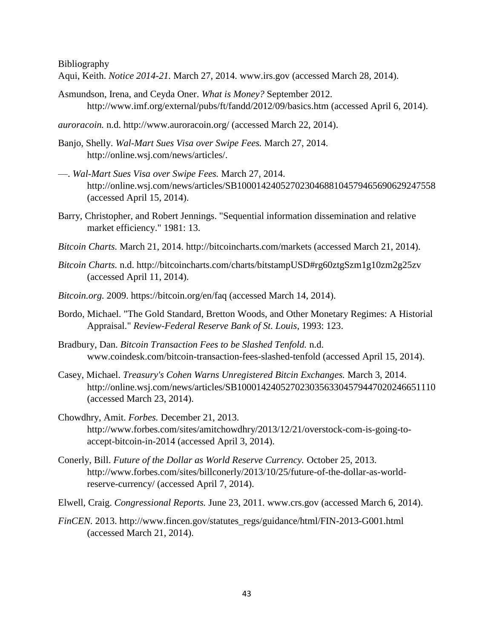Bibliography

- Aqui, Keith. *Notice 2014-21.* March 27, 2014. www.irs.gov (accessed March 28, 2014).
- Asmundson, Irena, and Ceyda Oner. *What is Money?* September 2012. http://www.imf.org/external/pubs/ft/fandd/2012/09/basics.htm (accessed April 6, 2014).
- *auroracoin.* n.d. http://www.auroracoin.org/ (accessed March 22, 2014).
- Banjo, Shelly. *Wal-Mart Sues Visa over Swipe Fees.* March 27, 2014. http://online.wsj.com/news/articles/.
- —. *Wal-Mart Sues Visa over Swipe Fees.* March 27, 2014. http://online.wsj.com/news/articles/SB10001424052702304688104579465690629247558 (accessed April 15, 2014).
- Barry, Christopher, and Robert Jennings. "Sequential information dissemination and relative market efficiency." 1981: 13.
- *Bitcoin Charts.* March 21, 2014. http://bitcoincharts.com/markets (accessed March 21, 2014).
- *Bitcoin Charts.* n.d. http://bitcoincharts.com/charts/bitstampUSD#rg60ztgSzm1g10zm2g25zv (accessed April 11, 2014).
- *Bitcoin.org.* 2009. https://bitcoin.org/en/faq (accessed March 14, 2014).
- Bordo, Michael. "The Gold Standard, Bretton Woods, and Other Monetary Regimes: A Historial Appraisal." *Review-Federal Reserve Bank of St. Louis*, 1993: 123.
- Bradbury, Dan. *Bitcoin Transaction Fees to be Slashed Tenfold.* n.d. www.coindesk.com/bitcoin-transaction-fees-slashed-tenfold (accessed April 15, 2014).
- Casey, Michael. *Treasury's Cohen Warns Unregistered Bitcin Exchanges.* March 3, 2014. http://online.wsj.com/news/articles/SB10001424052702303563304579447020246651110 (accessed March 23, 2014).
- Chowdhry, Amit. *Forbes.* December 21, 2013. http://www.forbes.com/sites/amitchowdhry/2013/12/21/overstock-com-is-going-toaccept-bitcoin-in-2014 (accessed April 3, 2014).
- Conerly, Bill. *Future of the Dollar as World Reserve Currency.* October 25, 2013. http://www.forbes.com/sites/billconerly/2013/10/25/future-of-the-dollar-as-worldreserve-currency/ (accessed April 7, 2014).
- Elwell, Craig. *Congressional Reports.* June 23, 2011. www.crs.gov (accessed March 6, 2014).
- *FinCEN.* 2013. http://www.fincen.gov/statutes\_regs/guidance/html/FIN-2013-G001.html (accessed March 21, 2014).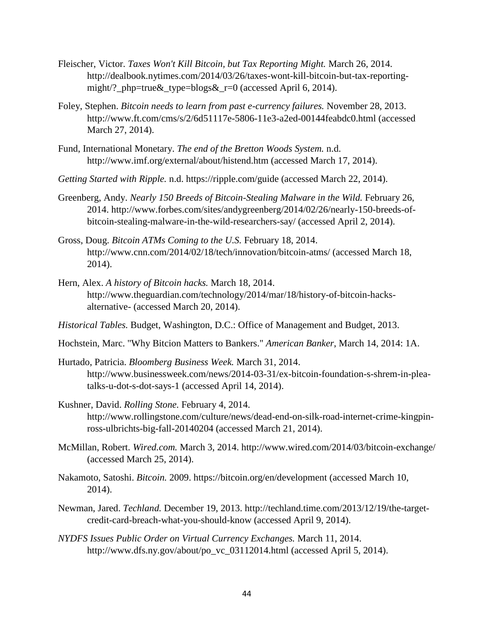- Fleischer, Victor. *Taxes Won't Kill Bitcoin, but Tax Reporting Might.* March 26, 2014. http://dealbook.nytimes.com/2014/03/26/taxes-wont-kill-bitcoin-but-tax-reportingmight/?\_php=true&\_type=blogs&\_r=0 (accessed April 6, 2014).
- Foley, Stephen. *Bitcoin needs to learn from past e-currency failures.* November 28, 2013. http://www.ft.com/cms/s/2/6d51117e-5806-11e3-a2ed-00144feabdc0.html (accessed March 27, 2014).
- Fund, International Monetary. *The end of the Bretton Woods System.* n.d. http://www.imf.org/external/about/histend.htm (accessed March 17, 2014).
- *Getting Started with Ripple.* n.d. https://ripple.com/guide (accessed March 22, 2014).
- Greenberg, Andy. *Nearly 150 Breeds of Bitcoin-Stealing Malware in the Wild.* February 26, 2014. http://www.forbes.com/sites/andygreenberg/2014/02/26/nearly-150-breeds-ofbitcoin-stealing-malware-in-the-wild-researchers-say/ (accessed April 2, 2014).
- Gross, Doug. *Bitcoin ATMs Coming to the U.S.* February 18, 2014. http://www.cnn.com/2014/02/18/tech/innovation/bitcoin-atms/ (accessed March 18, 2014).
- Hern, Alex. *A history of Bitcoin hacks.* March 18, 2014. http://www.theguardian.com/technology/2014/mar/18/history-of-bitcoin-hacksalternative- (accessed March 20, 2014).
- *Historical Tables.* Budget, Washington, D.C.: Office of Management and Budget, 2013.
- Hochstein, Marc. "Why Bitcion Matters to Bankers." *American Banker*, March 14, 2014: 1A.
- Hurtado, Patricia. *Bloomberg Business Week.* March 31, 2014. http://www.businessweek.com/news/2014-03-31/ex-bitcoin-foundation-s-shrem-in-pleatalks-u-dot-s-dot-says-1 (accessed April 14, 2014).
- Kushner, David. *Rolling Stone.* February 4, 2014. http://www.rollingstone.com/culture/news/dead-end-on-silk-road-internet-crime-kingpinross-ulbrichts-big-fall-20140204 (accessed March 21, 2014).
- McMillan, Robert. *Wired.com.* March 3, 2014. http://www.wired.com/2014/03/bitcoin-exchange/ (accessed March 25, 2014).
- Nakamoto, Satoshi. *Bitcoin.* 2009. https://bitcoin.org/en/development (accessed March 10, 2014).
- Newman, Jared. *Techland.* December 19, 2013. http://techland.time.com/2013/12/19/the-targetcredit-card-breach-what-you-should-know (accessed April 9, 2014).
- *NYDFS Issues Public Order on Virtual Currency Exchanges.* March 11, 2014. http://www.dfs.ny.gov/about/po\_vc\_03112014.html (accessed April 5, 2014).